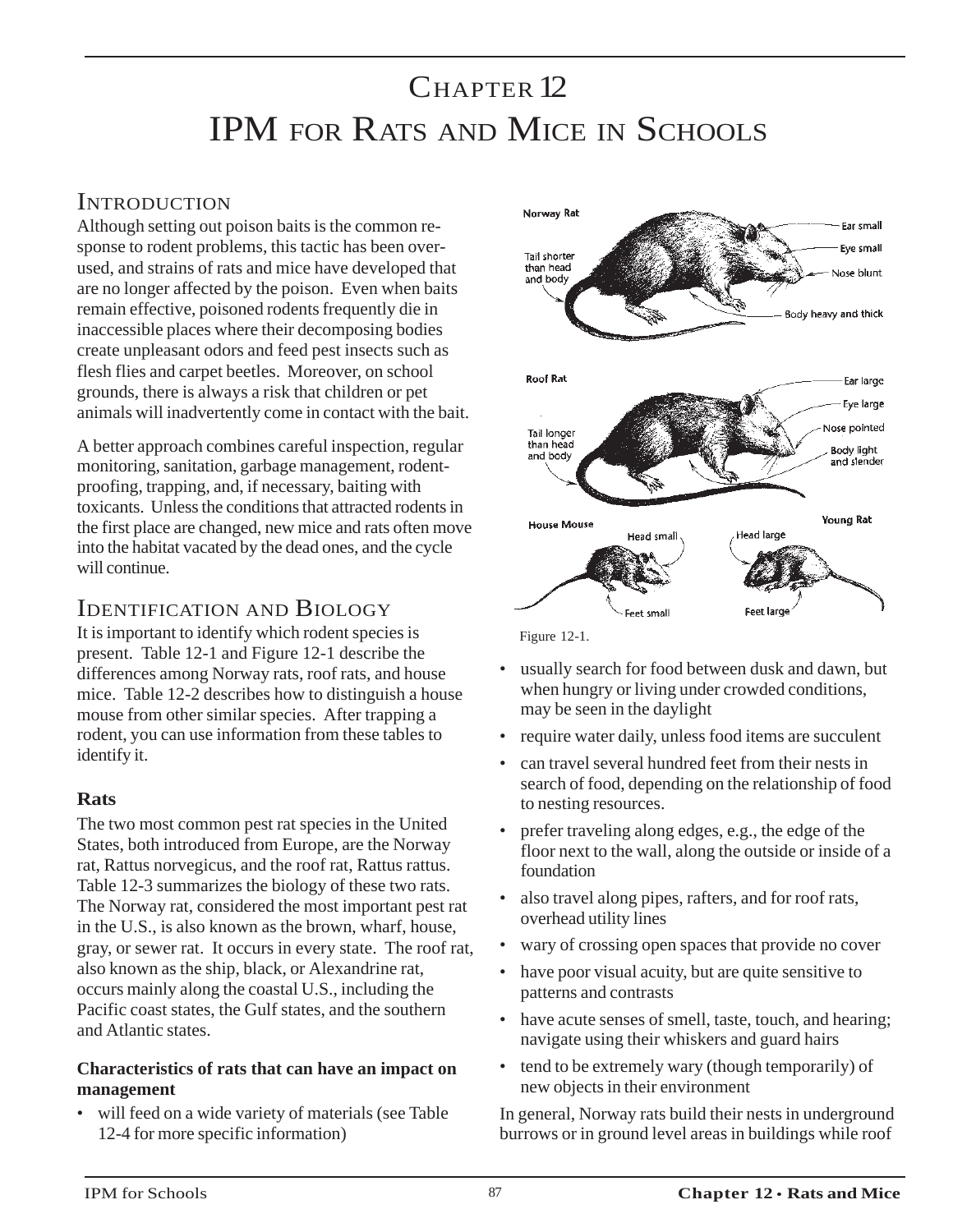# CHAPTER 12 IPM FOR RATS AND MICE IN SCHOOLS

## **INTRODUCTION**

Although setting out poison baits is the common response to rodent problems, this tactic has been overused, and strains of rats and mice have developed that are no longer affected by the poison. Even when baits remain effective, poisoned rodents frequently die in inaccessible places where their decomposing bodies create unpleasant odors and feed pest insects such as flesh flies and carpet beetles. Moreover, on school grounds, there is always a risk that children or pet animals will inadvertently come in contact with the bait.

A better approach combines careful inspection, regular monitoring, sanitation, garbage management, rodentproofing, trapping, and, if necessary, baiting with toxicants. Unless the conditions that attracted rodents in the first place are changed, new mice and rats often move into the habitat vacated by the dead ones, and the cycle will continue.

# IDENTIFICATION AND BIOLOGY

It is important to identify which rodent species is present. Table 12-1 and Figure 12-1 describe the differences among Norway rats, roof rats, and house mice. Table 12-2 describes how to distinguish a house mouse from other similar species. After trapping a rodent, you can use information from these tables to identify it.

### **Rats**

The two most common pest rat species in the United States, both introduced from Europe, are the Norway rat, Rattus norvegicus, and the roof rat, Rattus rattus. Table 12-3 summarizes the biology of these two rats. The Norway rat, considered the most important pest rat in the U.S., is also known as the brown, wharf, house, gray, or sewer rat. It occurs in every state. The roof rat, also known as the ship, black, or Alexandrine rat, occurs mainly along the coastal U.S., including the Pacific coast states, the Gulf states, and the southern and Atlantic states.

### **Characteristics of rats that can have an impact on management**

• will feed on a wide variety of materials (see Table 12-4 for more specific information)



Figure 12-1.

- usually search for food between dusk and dawn, but when hungry or living under crowded conditions, may be seen in the daylight
- require water daily, unless food items are succulent
- can travel several hundred feet from their nests in search of food, depending on the relationship of food to nesting resources.
- prefer traveling along edges, e.g., the edge of the floor next to the wall, along the outside or inside of a foundation
- also travel along pipes, rafters, and for roof rats, overhead utility lines
- wary of crossing open spaces that provide no cover
- have poor visual acuity, but are quite sensitive to patterns and contrasts
- have acute senses of smell, taste, touch, and hearing; navigate using their whiskers and guard hairs
- tend to be extremely wary (though temporarily) of new objects in their environment

In general, Norway rats build their nests in underground burrows or in ground level areas in buildings while roof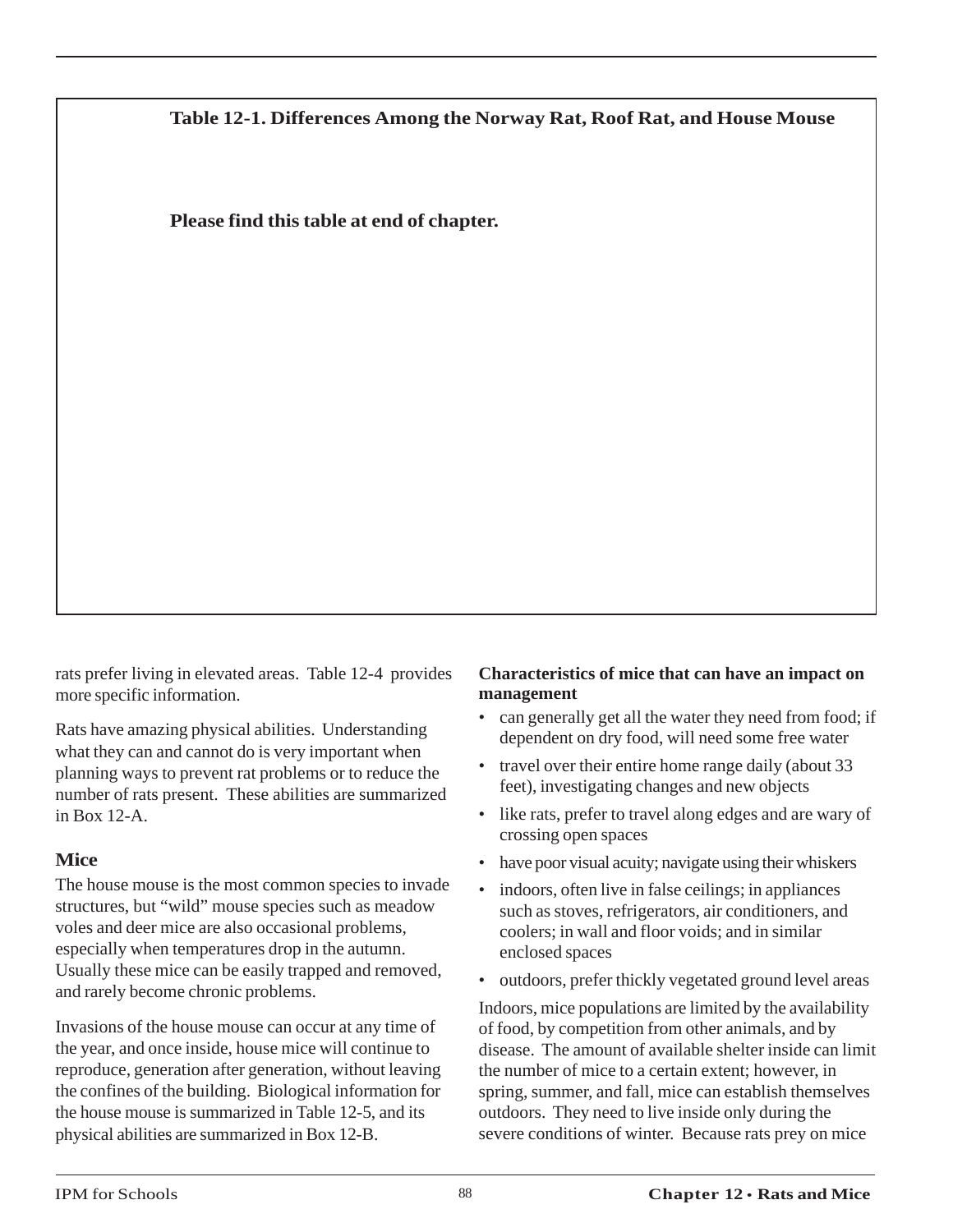**Table 12-1. Differences Among the Norway Rat, Roof Rat, and House Mouse**

**Please find this table at end of chapter.**

rats prefer living in elevated areas. Table 12-4 provides more specific information.

Rats have amazing physical abilities. Understanding what they can and cannot do is very important when planning ways to prevent rat problems or to reduce the number of rats present. These abilities are summarized in Box 12-A.

### **Mice**

The house mouse is the most common species to invade structures, but "wild" mouse species such as meadow voles and deer mice are also occasional problems, especially when temperatures drop in the autumn. Usually these mice can be easily trapped and removed, and rarely become chronic problems.

Invasions of the house mouse can occur at any time of the year, and once inside, house mice will continue to reproduce, generation after generation, without leaving the confines of the building. Biological information for the house mouse is summarized in Table 12-5, and its physical abilities are summarized in Box 12-B.

### **Characteristics of mice that can have an impact on management**

- can generally get all the water they need from food; if dependent on dry food, will need some free water
- travel over their entire home range daily (about 33 feet), investigating changes and new objects
- like rats, prefer to travel along edges and are wary of crossing open spaces
- have poor visual acuity; navigate using their whiskers
- indoors, often live in false ceilings; in appliances such as stoves, refrigerators, air conditioners, and coolers; in wall and floor voids; and in similar enclosed spaces
- outdoors, prefer thickly vegetated ground level areas

Indoors, mice populations are limited by the availability of food, by competition from other animals, and by disease. The amount of available shelter inside can limit the number of mice to a certain extent; however, in spring, summer, and fall, mice can establish themselves outdoors. They need to live inside only during the severe conditions of winter. Because rats prey on mice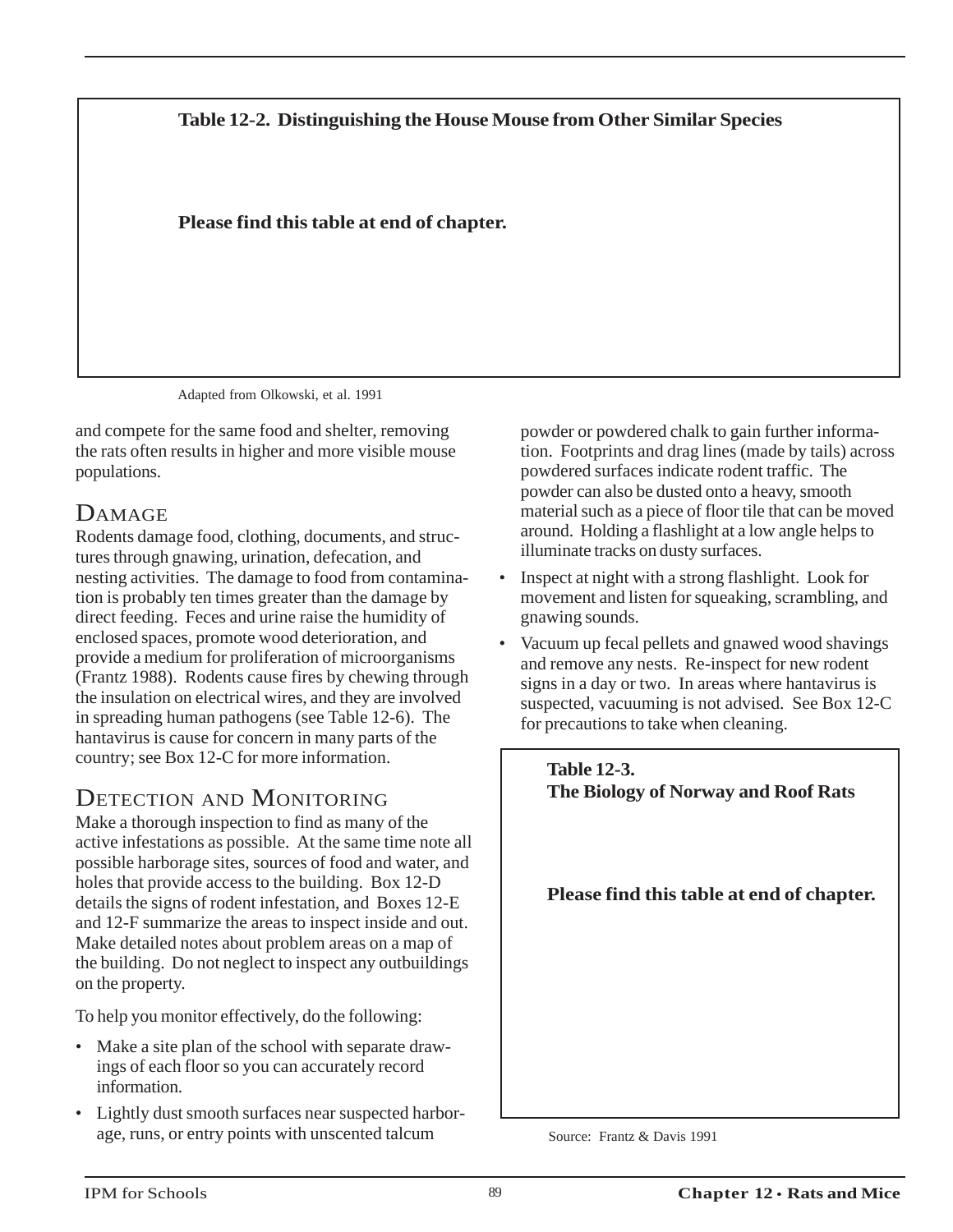### **Table 12-2. Distinguishing the House Mouse from Other Similar Species**

### **Please find this table at end of chapter.**

Adapted from Olkowski, et al. 1991

and compete for the same food and shelter, removing the rats often results in higher and more visible mouse populations.

# DAMAGE

Rodents damage food, clothing, documents, and structures through gnawing, urination, defecation, and nesting activities. The damage to food from contamination is probably ten times greater than the damage by direct feeding. Feces and urine raise the humidity of enclosed spaces, promote wood deterioration, and provide a medium for proliferation of microorganisms (Frantz 1988). Rodents cause fires by chewing through the insulation on electrical wires, and they are involved in spreading human pathogens (see Table 12-6). The hantavirus is cause for concern in many parts of the country; see Box 12-C for more information.

# DETECTION AND MONITORING

Make a thorough inspection to find as many of the active infestations as possible. At the same time note all possible harborage sites, sources of food and water, and holes that provide access to the building. Box 12-D details the signs of rodent infestation, and Boxes 12-E and 12-F summarize the areas to inspect inside and out. Make detailed notes about problem areas on a map of the building. Do not neglect to inspect any outbuildings on the property.

To help you monitor effectively, do the following:

- Make a site plan of the school with separate drawings of each floor so you can accurately record information.
- Lightly dust smooth surfaces near suspected harborage, runs, or entry points with unscented talcum

powder or powdered chalk to gain further information. Footprints and drag lines (made by tails) across powdered surfaces indicate rodent traffic. The powder can also be dusted onto a heavy, smooth material such as a piece of floor tile that can be moved around. Holding a flashlight at a low angle helps to illuminate tracks on dusty surfaces.

- Inspect at night with a strong flashlight. Look for movement and listen for squeaking, scrambling, and gnawing sounds.
- Vacuum up fecal pellets and gnawed wood shavings and remove any nests. Re-inspect for new rodent signs in a day or two. In areas where hantavirus is suspected, vacuuming is not advised. See Box 12-C for precautions to take when cleaning.



Source: Frantz & Davis 1991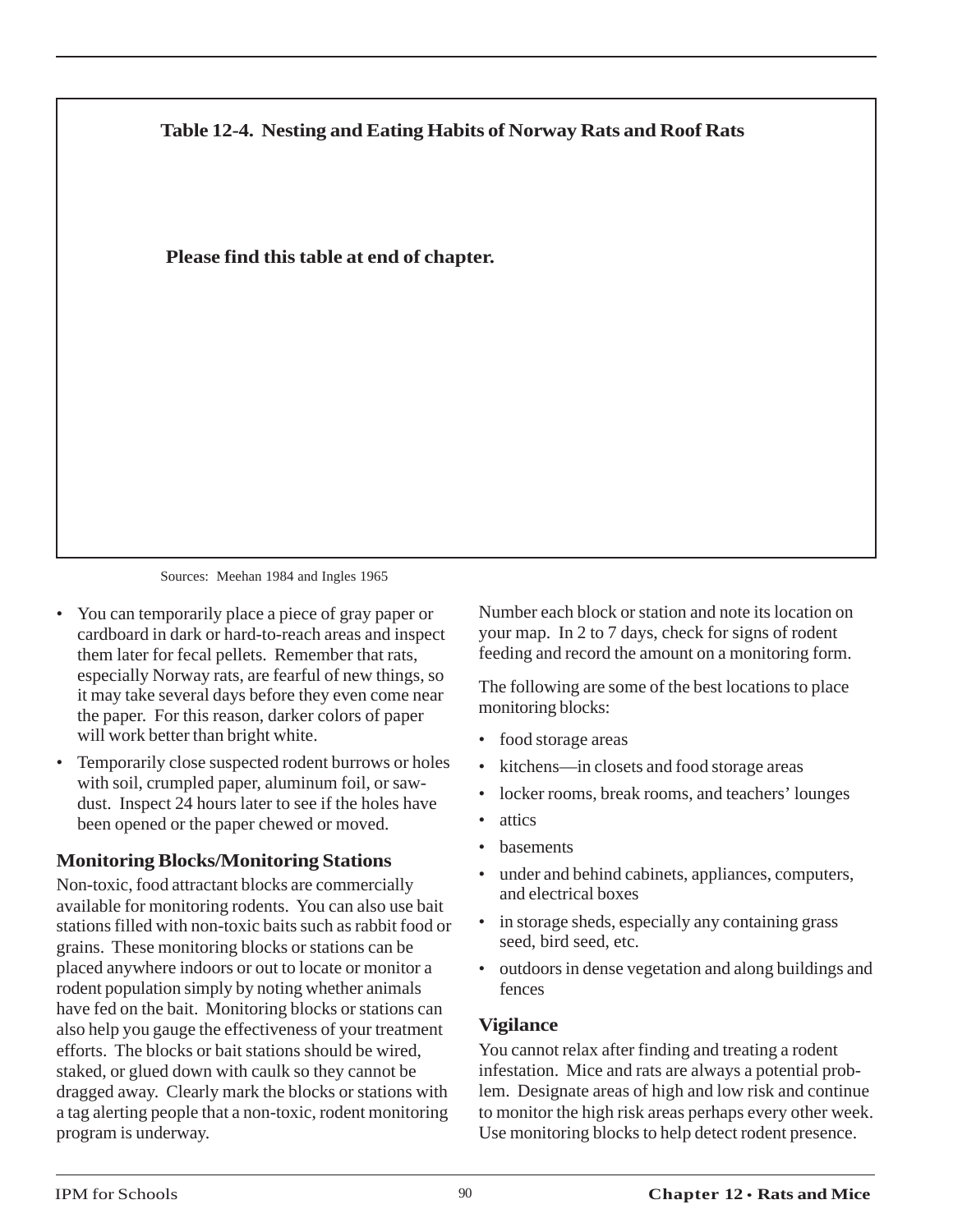

Sources: Meehan 1984 and Ingles 1965

- You can temporarily place a piece of gray paper or cardboard in dark or hard-to-reach areas and inspect them later for fecal pellets. Remember that rats, especially Norway rats, are fearful of new things, so it may take several days before they even come near the paper. For this reason, darker colors of paper will work better than bright white.
- Temporarily close suspected rodent burrows or holes with soil, crumpled paper, aluminum foil, or sawdust. Inspect 24 hours later to see if the holes have been opened or the paper chewed or moved.

# **Monitoring Blocks/Monitoring Stations**

Non-toxic, food attractant blocks are commercially available for monitoring rodents. You can also use bait stations filled with non-toxic baits such as rabbit food or grains. These monitoring blocks or stations can be placed anywhere indoors or out to locate or monitor a rodent population simply by noting whether animals have fed on the bait. Monitoring blocks or stations can also help you gauge the effectiveness of your treatment efforts. The blocks or bait stations should be wired, staked, or glued down with caulk so they cannot be dragged away. Clearly mark the blocks or stations with a tag alerting people that a non-toxic, rodent monitoring program is underway.

Number each block or station and note its location on your map. In 2 to 7 days, check for signs of rodent feeding and record the amount on a monitoring form.

The following are some of the best locations to place monitoring blocks:

- food storage areas
- kitchens—in closets and food storage areas
- locker rooms, break rooms, and teachers' lounges
- attics
- **basements**
- under and behind cabinets, appliances, computers, and electrical boxes
- in storage sheds, especially any containing grass seed, bird seed, etc.
- outdoors in dense vegetation and along buildings and fences

### **Vigilance**

You cannot relax after finding and treating a rodent infestation. Mice and rats are always a potential problem. Designate areas of high and low risk and continue to monitor the high risk areas perhaps every other week. Use monitoring blocks to help detect rodent presence.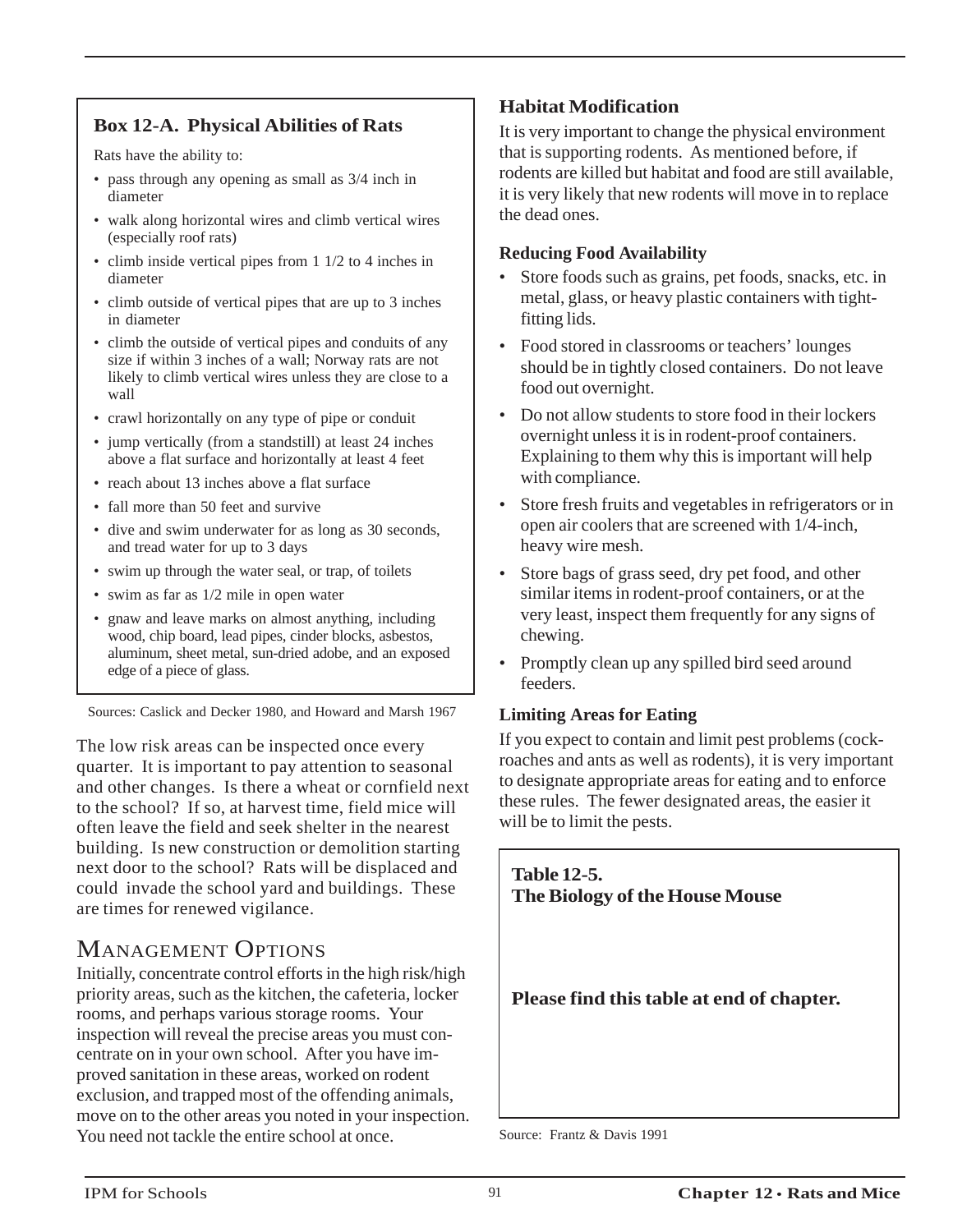# **Box 12-A. Physical Abilities of Rats**

Rats have the ability to:

- pass through any opening as small as 3/4 inch in diameter
- walk along horizontal wires and climb vertical wires (especially roof rats)
- climb inside vertical pipes from 1 1/2 to 4 inches in diameter
- climb outside of vertical pipes that are up to 3 inches in diameter
- climb the outside of vertical pipes and conduits of any size if within 3 inches of a wall; Norway rats are not likely to climb vertical wires unless they are close to a wall
- crawl horizontally on any type of pipe or conduit
- jump vertically (from a standstill) at least 24 inches above a flat surface and horizontally at least 4 feet
- reach about 13 inches above a flat surface
- fall more than 50 feet and survive
- dive and swim underwater for as long as 30 seconds, and tread water for up to 3 days
- swim up through the water seal, or trap, of toilets
- swim as far as 1/2 mile in open water
- gnaw and leave marks on almost anything, including wood, chip board, lead pipes, cinder blocks, asbestos, aluminum, sheet metal, sun-dried adobe, and an exposed edge of a piece of glass.

Sources: Caslick and Decker 1980, and Howard and Marsh 1967

The low risk areas can be inspected once every quarter. It is important to pay attention to seasonal and other changes. Is there a wheat or cornfield next to the school? If so, at harvest time, field mice will often leave the field and seek shelter in the nearest building. Is new construction or demolition starting next door to the school? Rats will be displaced and could invade the school yard and buildings. These are times for renewed vigilance.

# MANAGEMENT OPTIONS

Initially, concentrate control efforts in the high risk/high priority areas, such as the kitchen, the cafeteria, locker rooms, and perhaps various storage rooms. Your inspection will reveal the precise areas you must concentrate on in your own school. After you have improved sanitation in these areas, worked on rodent exclusion, and trapped most of the offending animals, move on to the other areas you noted in your inspection. You need not tackle the entire school at once. Source: Frantz & Davis 1991

### **Habitat Modification**

It is very important to change the physical environment that is supporting rodents. As mentioned before, if rodents are killed but habitat and food are still available, it is very likely that new rodents will move in to replace the dead ones.

### **Reducing Food Availability**

- Store foods such as grains, pet foods, snacks, etc. in metal, glass, or heavy plastic containers with tightfitting lids.
- Food stored in classrooms or teachers' lounges should be in tightly closed containers. Do not leave food out overnight.
- Do not allow students to store food in their lockers overnight unless it is in rodent-proof containers. Explaining to them why this is important will help with compliance.
- Store fresh fruits and vegetables in refrigerators or in open air coolers that are screened with 1/4-inch, heavy wire mesh.
- Store bags of grass seed, dry pet food, and other similar items in rodent-proof containers, or at the very least, inspect them frequently for any signs of chewing.
- Promptly clean up any spilled bird seed around feeders.

### **Limiting Areas for Eating**

If you expect to contain and limit pest problems (cockroaches and ants as well as rodents), it is very important to designate appropriate areas for eating and to enforce these rules. The fewer designated areas, the easier it will be to limit the pests.

### **Table 12-5. The Biology of the House Mouse**

**Please find this table at end of chapter.**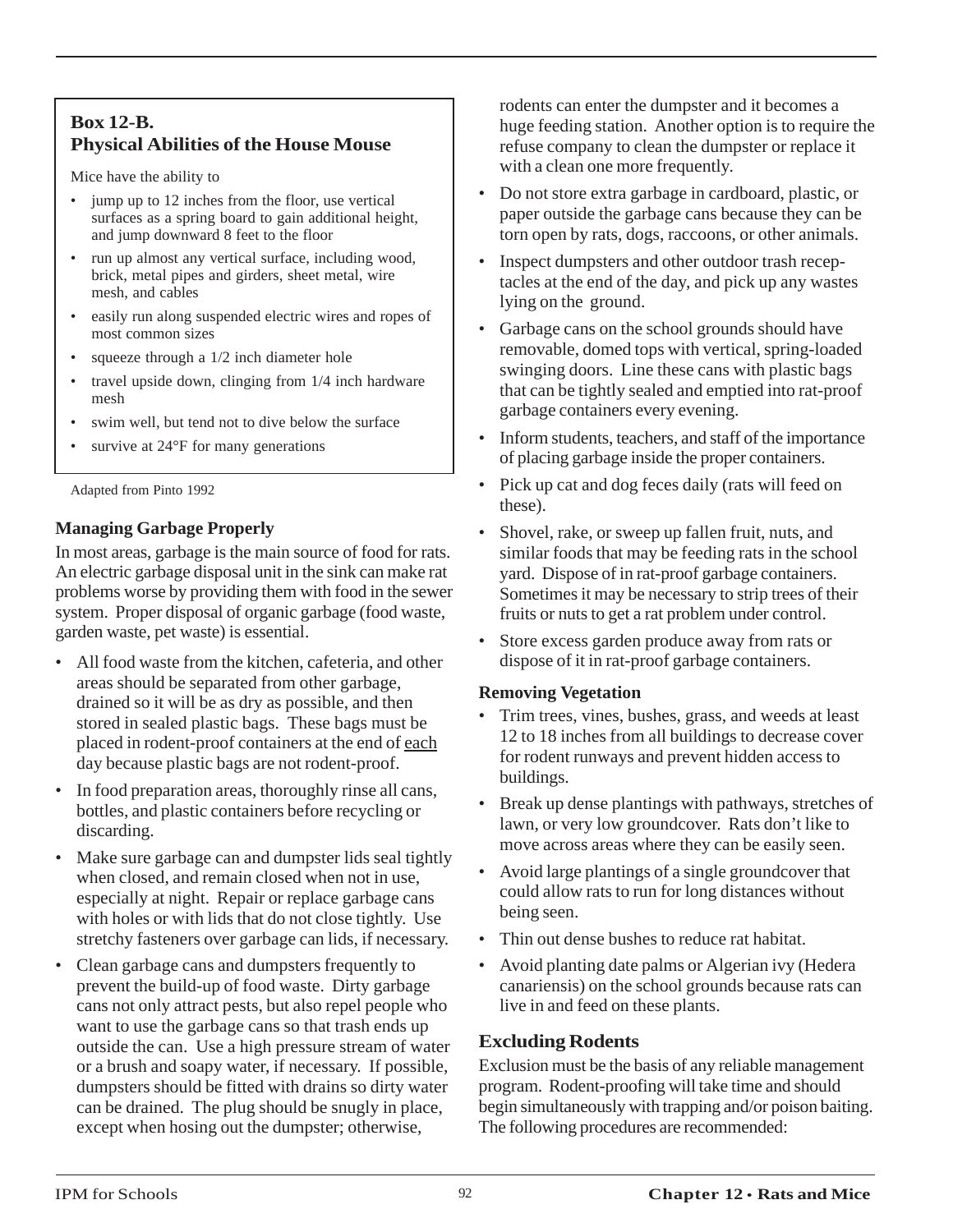### **Box 12-B. Physical Abilities of the House Mouse**

Mice have the ability to

- jump up to 12 inches from the floor, use vertical surfaces as a spring board to gain additional height, and jump downward 8 feet to the floor
- run up almost any vertical surface, including wood, brick, metal pipes and girders, sheet metal, wire mesh, and cables
- easily run along suspended electric wires and ropes of most common sizes
- squeeze through a 1/2 inch diameter hole
- travel upside down, clinging from  $1/4$  inch hardware mesh
- swim well, but tend not to dive below the surface
- survive at  $24^{\circ}$ F for many generations

Adapted from Pinto 1992

### **Managing Garbage Properly**

In most areas, garbage is the main source of food for rats. An electric garbage disposal unit in the sink can make rat problems worse by providing them with food in the sewer system. Proper disposal of organic garbage (food waste, garden waste, pet waste) is essential.

- All food waste from the kitchen, cafeteria, and other areas should be separated from other garbage, drained so it will be as dry as possible, and then stored in sealed plastic bags. These bags must be placed in rodent-proof containers at the end of each day because plastic bags are not rodent-proof.
- In food preparation areas, thoroughly rinse all cans, bottles, and plastic containers before recycling or discarding.
- Make sure garbage can and dumpster lids seal tightly when closed, and remain closed when not in use, especially at night. Repair or replace garbage cans with holes or with lids that do not close tightly. Use stretchy fasteners over garbage can lids, if necessary.
- Clean garbage cans and dumpsters frequently to prevent the build-up of food waste. Dirty garbage cans not only attract pests, but also repel people who want to use the garbage cans so that trash ends up outside the can. Use a high pressure stream of water or a brush and soapy water, if necessary. If possible, dumpsters should be fitted with drains so dirty water can be drained. The plug should be snugly in place, except when hosing out the dumpster; otherwise,

rodents can enter the dumpster and it becomes a huge feeding station. Another option is to require the refuse company to clean the dumpster or replace it with a clean one more frequently.

- Do not store extra garbage in cardboard, plastic, or paper outside the garbage cans because they can be torn open by rats, dogs, raccoons, or other animals.
- Inspect dumpsters and other outdoor trash receptacles at the end of the day, and pick up any wastes lying on the ground.
- Garbage cans on the school grounds should have removable, domed tops with vertical, spring-loaded swinging doors. Line these cans with plastic bags that can be tightly sealed and emptied into rat-proof garbage containers every evening.
- Inform students, teachers, and staff of the importance of placing garbage inside the proper containers.
- Pick up cat and dog feces daily (rats will feed on these).
- Shovel, rake, or sweep up fallen fruit, nuts, and similar foods that may be feeding rats in the school yard. Dispose of in rat-proof garbage containers. Sometimes it may be necessary to strip trees of their fruits or nuts to get a rat problem under control.
- Store excess garden produce away from rats or dispose of it in rat-proof garbage containers.

### **Removing Vegetation**

- Trim trees, vines, bushes, grass, and weeds at least 12 to 18 inches from all buildings to decrease cover for rodent runways and prevent hidden access to buildings.
- Break up dense plantings with pathways, stretches of lawn, or very low groundcover. Rats don't like to move across areas where they can be easily seen.
- Avoid large plantings of a single groundcover that could allow rats to run for long distances without being seen.
- Thin out dense bushes to reduce rat habitat.
- Avoid planting date palms or Algerian ivy (Hedera canariensis) on the school grounds because rats can live in and feed on these plants.

# **Excluding Rodents**

Exclusion must be the basis of any reliable management program. Rodent-proofing will take time and should begin simultaneously with trapping and/or poison baiting. The following procedures are recommended: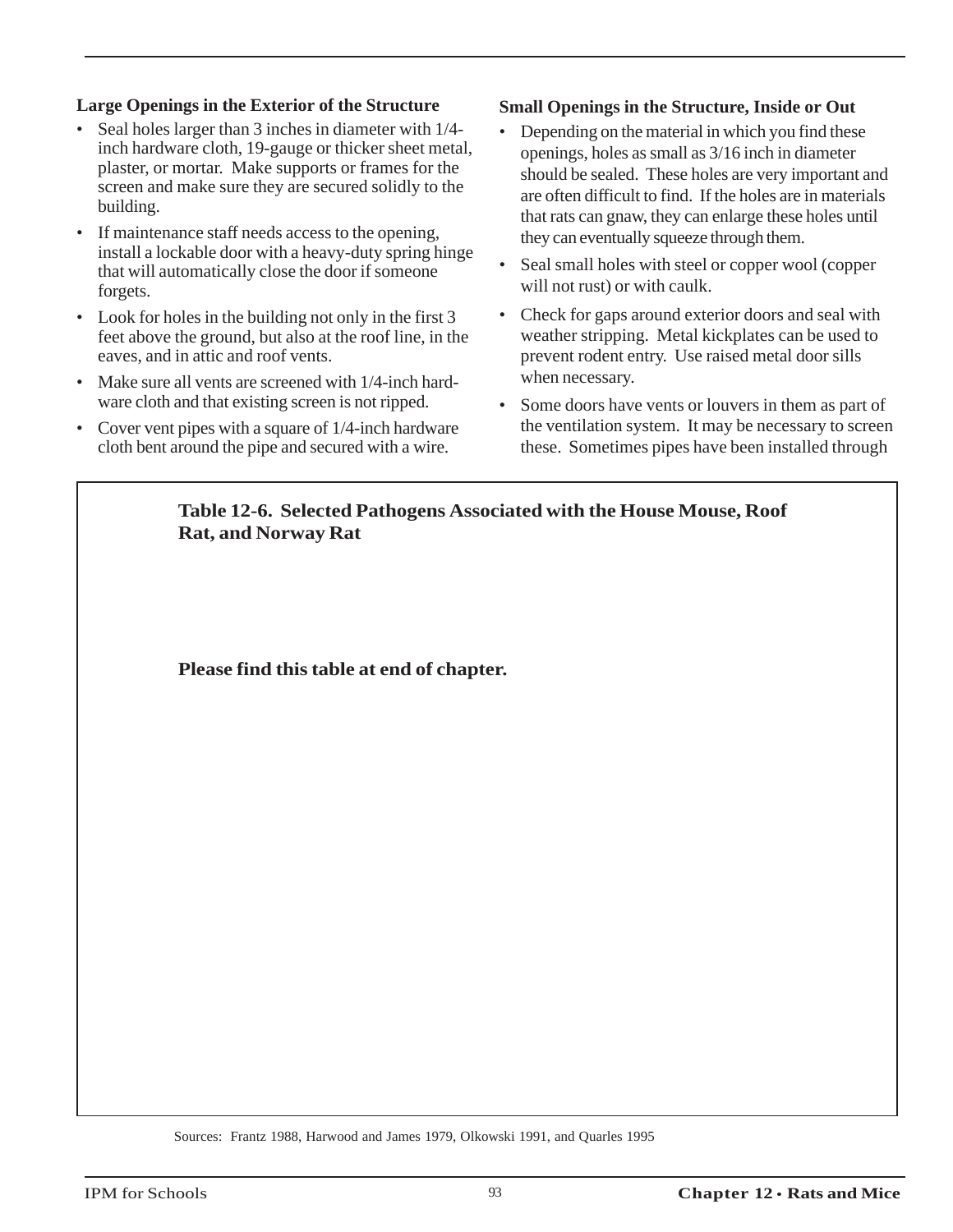### **Large Openings in the Exterior of the Structure**

- Seal holes larger than 3 inches in diameter with 1/4 inch hardware cloth, 19-gauge or thicker sheet metal, plaster, or mortar. Make supports or frames for the screen and make sure they are secured solidly to the building.
- If maintenance staff needs access to the opening, install a lockable door with a heavy-duty spring hinge that will automatically close the door if someone forgets.
- Look for holes in the building not only in the first 3 feet above the ground, but also at the roof line, in the eaves, and in attic and roof vents.
- Make sure all vents are screened with 1/4-inch hardware cloth and that existing screen is not ripped.
- Cover vent pipes with a square of 1/4-inch hardware cloth bent around the pipe and secured with a wire.

### **Small Openings in the Structure, Inside or Out**

- Depending on the material in which you find these openings, holes as small as 3/16 inch in diameter should be sealed. These holes are very important and are often difficult to find. If the holes are in materials that rats can gnaw, they can enlarge these holes until they can eventually squeeze through them.
- Seal small holes with steel or copper wool (copper will not rust) or with caulk.
- Check for gaps around exterior doors and seal with weather stripping. Metal kickplates can be used to prevent rodent entry. Use raised metal door sills when necessary.
- Some doors have vents or louvers in them as part of the ventilation system. It may be necessary to screen these. Sometimes pipes have been installed through

### **Table 12-6. Selected Pathogens Associated with the House Mouse, Roof Rat, and Norway Rat**

**Please find this table at end of chapter.**

Sources: Frantz 1988, Harwood and James 1979, Olkowski 1991, and Quarles 1995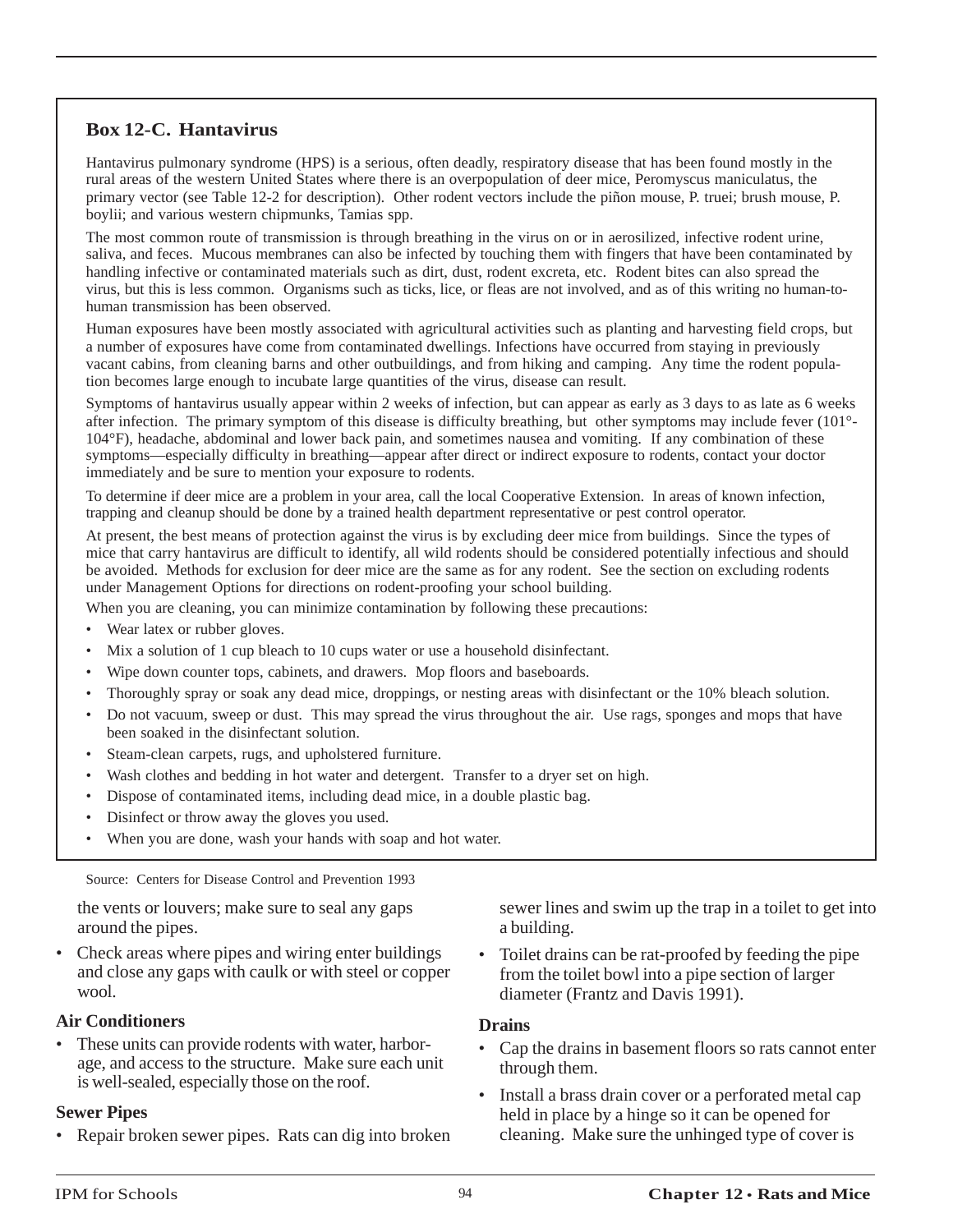### **Box 12-C. Hantavirus**

Hantavirus pulmonary syndrome (HPS) is a serious, often deadly, respiratory disease that has been found mostly in the rural areas of the western United States where there is an overpopulation of deer mice, Peromyscus maniculatus, the primary vector (see Table 12-2 for description). Other rodent vectors include the piñon mouse, P. truei; brush mouse, P. boylii; and various western chipmunks, Tamias spp.

The most common route of transmission is through breathing in the virus on or in aerosilized, infective rodent urine, saliva, and feces. Mucous membranes can also be infected by touching them with fingers that have been contaminated by handling infective or contaminated materials such as dirt, dust, rodent excreta, etc. Rodent bites can also spread the virus, but this is less common. Organisms such as ticks, lice, or fleas are not involved, and as of this writing no human-tohuman transmission has been observed.

Human exposures have been mostly associated with agricultural activities such as planting and harvesting field crops, but a number of exposures have come from contaminated dwellings. Infections have occurred from staying in previously vacant cabins, from cleaning barns and other outbuildings, and from hiking and camping. Any time the rodent population becomes large enough to incubate large quantities of the virus, disease can result.

Symptoms of hantavirus usually appear within 2 weeks of infection, but can appear as early as 3 days to as late as 6 weeks after infection. The primary symptom of this disease is difficulty breathing, but other symptoms may include fever (101°- 104°F), headache, abdominal and lower back pain, and sometimes nausea and vomiting. If any combination of these symptoms—especially difficulty in breathing—appear after direct or indirect exposure to rodents, contact your doctor immediately and be sure to mention your exposure to rodents.

To determine if deer mice are a problem in your area, call the local Cooperative Extension. In areas of known infection, trapping and cleanup should be done by a trained health department representative or pest control operator.

At present, the best means of protection against the virus is by excluding deer mice from buildings. Since the types of mice that carry hantavirus are difficult to identify, all wild rodents should be considered potentially infectious and should be avoided. Methods for exclusion for deer mice are the same as for any rodent. See the section on excluding rodents under Management Options for directions on rodent-proofing your school building.

When you are cleaning, you can minimize contamination by following these precautions:

- Wear latex or rubber gloves.
- Mix a solution of 1 cup bleach to 10 cups water or use a household disinfectant.
- Wipe down counter tops, cabinets, and drawers. Mop floors and baseboards.
- Thoroughly spray or soak any dead mice, droppings, or nesting areas with disinfectant or the 10% bleach solution.
- Do not vacuum, sweep or dust. This may spread the virus throughout the air. Use rags, sponges and mops that have been soaked in the disinfectant solution.
- Steam-clean carpets, rugs, and upholstered furniture.
- Wash clothes and bedding in hot water and detergent. Transfer to a dryer set on high.
- Dispose of contaminated items, including dead mice, in a double plastic bag.
- Disinfect or throw away the gloves you used.
- When you are done, wash your hands with soap and hot water.

Source: Centers for Disease Control and Prevention 1993

the vents or louvers; make sure to seal any gaps around the pipes.

• Check areas where pipes and wiring enter buildings and close any gaps with caulk or with steel or copper wool.

#### **Air Conditioners**

• These units can provide rodents with water, harborage, and access to the structure. Make sure each unit is well-sealed, especially those on the roof.

#### **Sewer Pipes**

• Repair broken sewer pipes. Rats can dig into broken

sewer lines and swim up the trap in a toilet to get into a building.

• Toilet drains can be rat-proofed by feeding the pipe from the toilet bowl into a pipe section of larger diameter (Frantz and Davis 1991).

#### **Drains**

- Cap the drains in basement floors so rats cannot enter through them.
- Install a brass drain cover or a perforated metal cap held in place by a hinge so it can be opened for cleaning. Make sure the unhinged type of cover is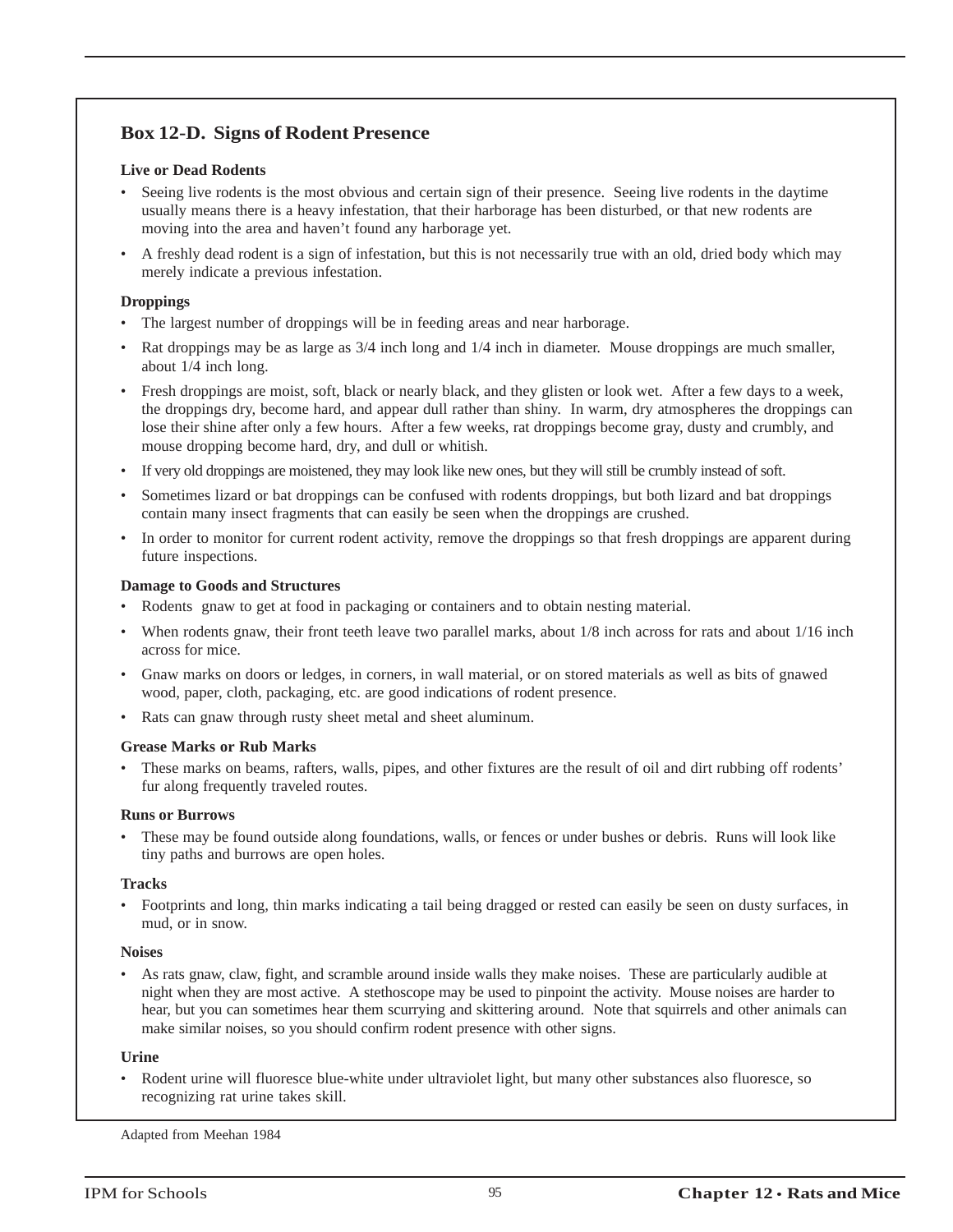### **Box 12-D. Signs of Rodent Presence**

#### **Live or Dead Rodents**

- Seeing live rodents is the most obvious and certain sign of their presence. Seeing live rodents in the daytime usually means there is a heavy infestation, that their harborage has been disturbed, or that new rodents are moving into the area and haven't found any harborage yet.
- A freshly dead rodent is a sign of infestation, but this is not necessarily true with an old, dried body which may merely indicate a previous infestation.

#### **Droppings**

- The largest number of droppings will be in feeding areas and near harborage.
- Rat droppings may be as large as  $3/4$  inch long and  $1/4$  inch in diameter. Mouse droppings are much smaller, about 1/4 inch long.
- Fresh droppings are moist, soft, black or nearly black, and they glisten or look wet. After a few days to a week, the droppings dry, become hard, and appear dull rather than shiny. In warm, dry atmospheres the droppings can lose their shine after only a few hours. After a few weeks, rat droppings become gray, dusty and crumbly, and mouse dropping become hard, dry, and dull or whitish.
- If very old droppings are moistened, they may look like new ones, but they will still be crumbly instead of soft.
- Sometimes lizard or bat droppings can be confused with rodents droppings, but both lizard and bat droppings contain many insect fragments that can easily be seen when the droppings are crushed.
- In order to monitor for current rodent activity, remove the droppings so that fresh droppings are apparent during future inspections.

#### **Damage to Goods and Structures**

- Rodents gnaw to get at food in packaging or containers and to obtain nesting material.
- When rodents gnaw, their front teeth leave two parallel marks, about 1/8 inch across for rats and about 1/16 inch across for mice.
- Gnaw marks on doors or ledges, in corners, in wall material, or on stored materials as well as bits of gnawed wood, paper, cloth, packaging, etc. are good indications of rodent presence.
- Rats can gnaw through rusty sheet metal and sheet aluminum.

#### **Grease Marks or Rub Marks**

• These marks on beams, rafters, walls, pipes, and other fixtures are the result of oil and dirt rubbing off rodents' fur along frequently traveled routes.

#### **Runs or Burrows**

• These may be found outside along foundations, walls, or fences or under bushes or debris. Runs will look like tiny paths and burrows are open holes.

#### **Tracks**

• Footprints and long, thin marks indicating a tail being dragged or rested can easily be seen on dusty surfaces, in mud, or in snow.

#### **Noises**

• As rats gnaw, claw, fight, and scramble around inside walls they make noises. These are particularly audible at night when they are most active. A stethoscope may be used to pinpoint the activity. Mouse noises are harder to hear, but you can sometimes hear them scurrying and skittering around. Note that squirrels and other animals can make similar noises, so you should confirm rodent presence with other signs.

#### **Urine**

• Rodent urine will fluoresce blue-white under ultraviolet light, but many other substances also fluoresce, so recognizing rat urine takes skill.

Adapted from Meehan 1984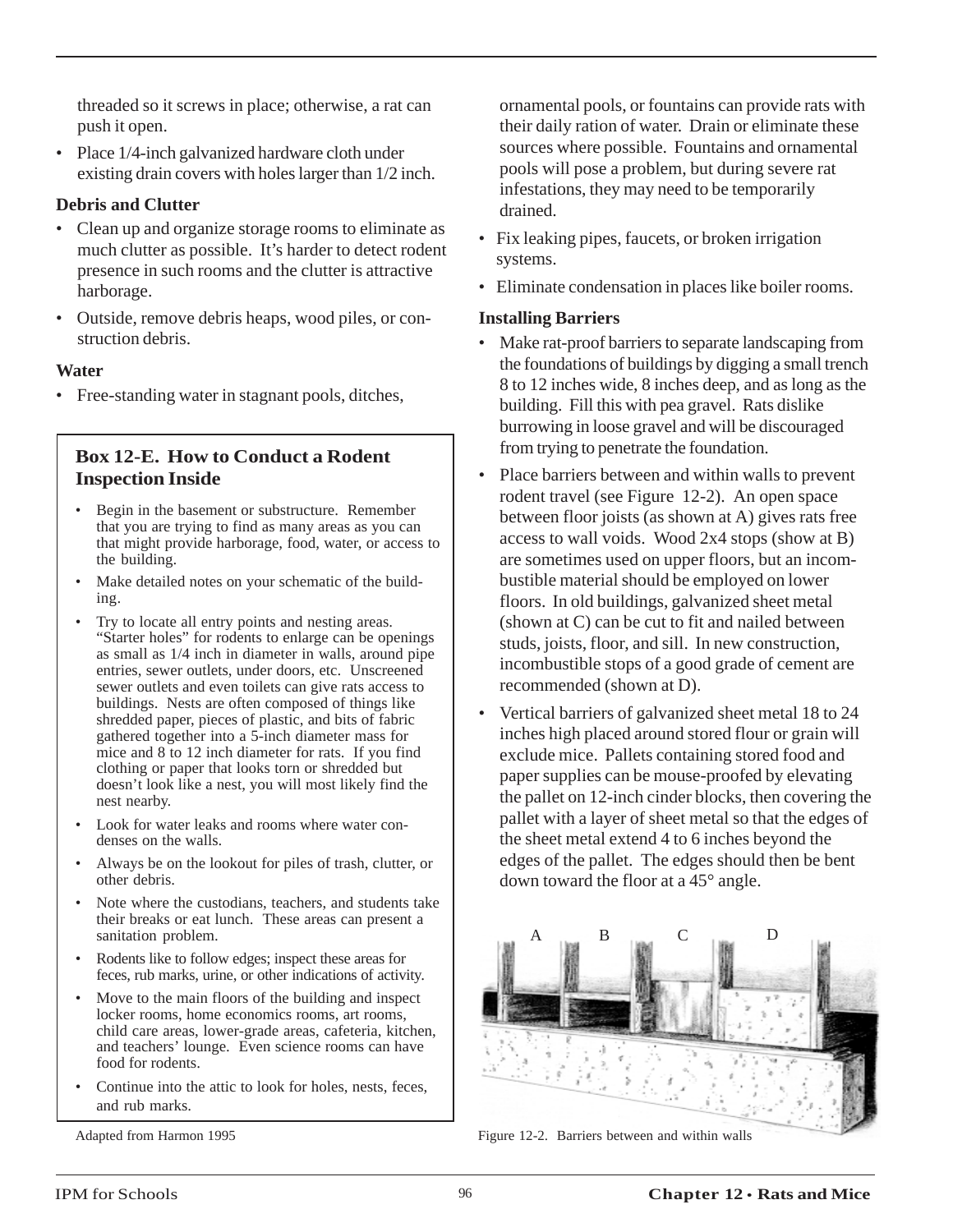threaded so it screws in place; otherwise, a rat can push it open.

• Place 1/4-inch galvanized hardware cloth under existing drain covers with holes larger than 1/2 inch.

### **Debris and Clutter**

- Clean up and organize storage rooms to eliminate as much clutter as possible. It's harder to detect rodent presence in such rooms and the clutter is attractive harborage.
- Outside, remove debris heaps, wood piles, or construction debris.

### **Water**

• Free-standing water in stagnant pools, ditches,

### **Box 12-E. How to Conduct a Rodent Inspection Inside**

- Begin in the basement or substructure. Remember that you are trying to find as many areas as you can that might provide harborage, food, water, or access to the building.
- Make detailed notes on your schematic of the building.
- Try to locate all entry points and nesting areas. "Starter holes" for rodents to enlarge can be openings as small as 1/4 inch in diameter in walls, around pipe entries, sewer outlets, under doors, etc. Unscreened sewer outlets and even toilets can give rats access to buildings. Nests are often composed of things like shredded paper, pieces of plastic, and bits of fabric gathered together into a 5-inch diameter mass for mice and 8 to 12 inch diameter for rats. If you find clothing or paper that looks torn or shredded but doesn't look like a nest, you will most likely find the nest nearby.
- Look for water leaks and rooms where water condenses on the walls.
- Always be on the lookout for piles of trash, clutter, or other debris.
- Note where the custodians, teachers, and students take their breaks or eat lunch. These areas can present a sanitation problem.
- Rodents like to follow edges; inspect these areas for feces, rub marks, urine, or other indications of activity.
- Move to the main floors of the building and inspect locker rooms, home economics rooms, art rooms, child care areas, lower-grade areas, cafeteria, kitchen, and teachers' lounge. Even science rooms can have food for rodents.
- Continue into the attic to look for holes, nests, feces, and rub marks.

Adapted from Harmon 1995

ornamental pools, or fountains can provide rats with their daily ration of water. Drain or eliminate these sources where possible. Fountains and ornamental pools will pose a problem, but during severe rat infestations, they may need to be temporarily drained.

- Fix leaking pipes, faucets, or broken irrigation systems.
- Eliminate condensation in places like boiler rooms.

#### **Installing Barriers**

- Make rat-proof barriers to separate landscaping from the foundations of buildings by digging a small trench 8 to 12 inches wide, 8 inches deep, and as long as the building. Fill this with pea gravel. Rats dislike burrowing in loose gravel and will be discouraged from trying to penetrate the foundation.
- Place barriers between and within walls to prevent rodent travel (see Figure 12-2). An open space between floor joists (as shown at A) gives rats free access to wall voids. Wood 2x4 stops (show at B) are sometimes used on upper floors, but an incombustible material should be employed on lower floors. In old buildings, galvanized sheet metal (shown at C) can be cut to fit and nailed between studs, joists, floor, and sill. In new construction, incombustible stops of a good grade of cement are recommended (shown at D).
- Vertical barriers of galvanized sheet metal 18 to 24 inches high placed around stored flour or grain will exclude mice. Pallets containing stored food and paper supplies can be mouse-proofed by elevating the pallet on 12-inch cinder blocks, then covering the pallet with a layer of sheet metal so that the edges of the sheet metal extend 4 to 6 inches beyond the edges of the pallet. The edges should then be bent down toward the floor at a 45° angle.



Figure 12-2. Barriers between and within walls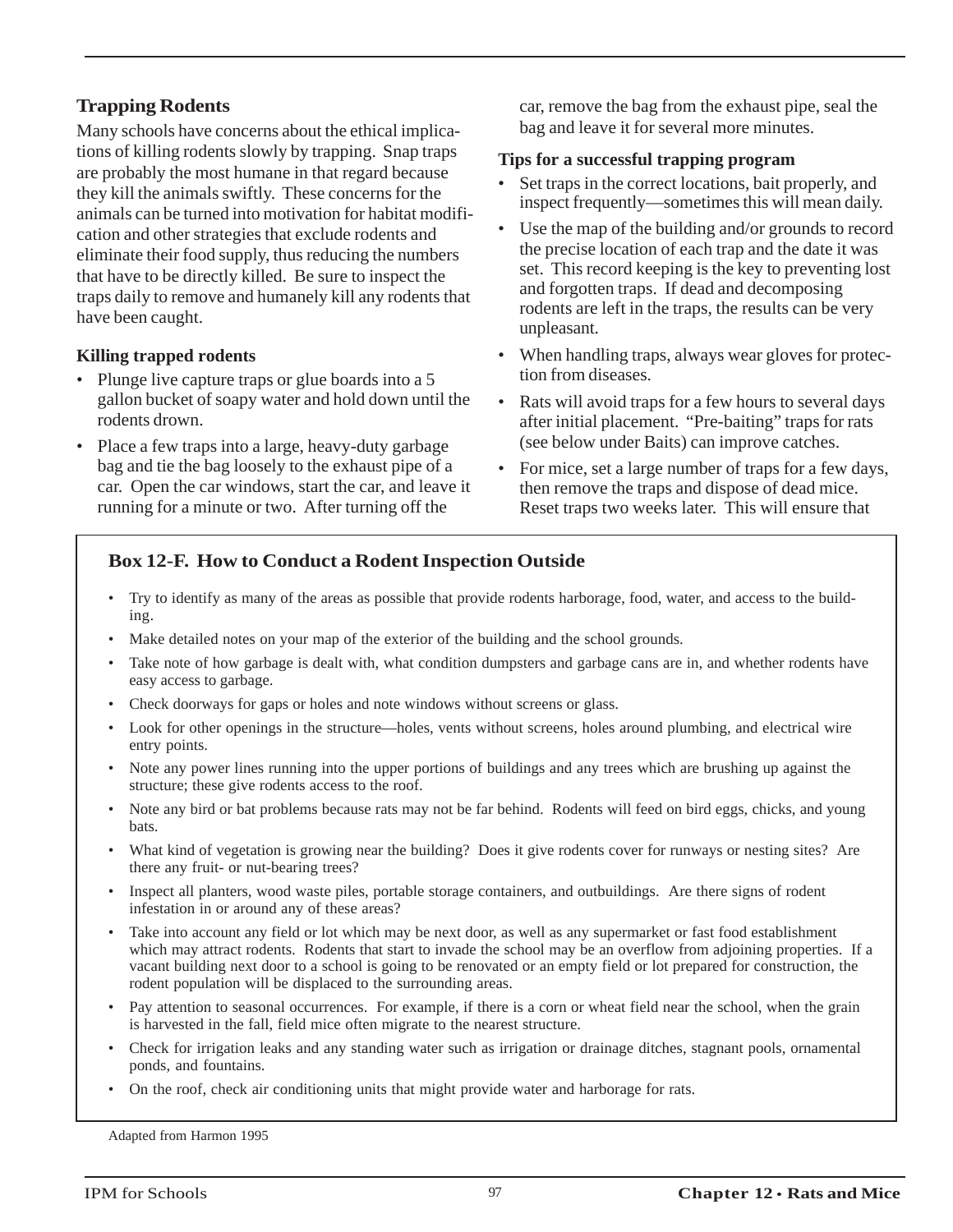### **Trapping Rodents**

Many schools have concerns about the ethical implications of killing rodents slowly by trapping. Snap traps are probably the most humane in that regard because they kill the animals swiftly. These concerns for the animals can be turned into motivation for habitat modification and other strategies that exclude rodents and eliminate their food supply, thus reducing the numbers that have to be directly killed. Be sure to inspect the traps daily to remove and humanely kill any rodents that have been caught.

### **Killing trapped rodents**

- Plunge live capture traps or glue boards into a 5 gallon bucket of soapy water and hold down until the rodents drown.
- Place a few traps into a large, heavy-duty garbage bag and tie the bag loosely to the exhaust pipe of a car. Open the car windows, start the car, and leave it running for a minute or two. After turning off the

car, remove the bag from the exhaust pipe, seal the bag and leave it for several more minutes.

### **Tips for a successful trapping program**

- Set traps in the correct locations, bait properly, and inspect frequently—sometimes this will mean daily.
- Use the map of the building and/or grounds to record the precise location of each trap and the date it was set. This record keeping is the key to preventing lost and forgotten traps. If dead and decomposing rodents are left in the traps, the results can be very unpleasant.
- When handling traps, always wear gloves for protection from diseases.
- Rats will avoid traps for a few hours to several days after initial placement. "Pre-baiting" traps for rats (see below under Baits) can improve catches.
- For mice, set a large number of traps for a few days, then remove the traps and dispose of dead mice. Reset traps two weeks later. This will ensure that

### **Box 12-F. How to Conduct a Rodent Inspection Outside**

- Try to identify as many of the areas as possible that provide rodents harborage, food, water, and access to the building.
- Make detailed notes on your map of the exterior of the building and the school grounds.
- Take note of how garbage is dealt with, what condition dumpsters and garbage cans are in, and whether rodents have easy access to garbage.
- Check doorways for gaps or holes and note windows without screens or glass.
- Look for other openings in the structure—holes, vents without screens, holes around plumbing, and electrical wire entry points.
- Note any power lines running into the upper portions of buildings and any trees which are brushing up against the structure; these give rodents access to the roof.
- Note any bird or bat problems because rats may not be far behind. Rodents will feed on bird eggs, chicks, and young bats.
- What kind of vegetation is growing near the building? Does it give rodents cover for runways or nesting sites? Are there any fruit- or nut-bearing trees?
- Inspect all planters, wood waste piles, portable storage containers, and outbuildings. Are there signs of rodent infestation in or around any of these areas?
- Take into account any field or lot which may be next door, as well as any supermarket or fast food establishment which may attract rodents. Rodents that start to invade the school may be an overflow from adjoining properties. If a vacant building next door to a school is going to be renovated or an empty field or lot prepared for construction, the rodent population will be displaced to the surrounding areas.
- Pay attention to seasonal occurrences. For example, if there is a corn or wheat field near the school, when the grain is harvested in the fall, field mice often migrate to the nearest structure.
- Check for irrigation leaks and any standing water such as irrigation or drainage ditches, stagnant pools, ornamental ponds, and fountains.
- On the roof, check air conditioning units that might provide water and harborage for rats.

Adapted from Harmon 1995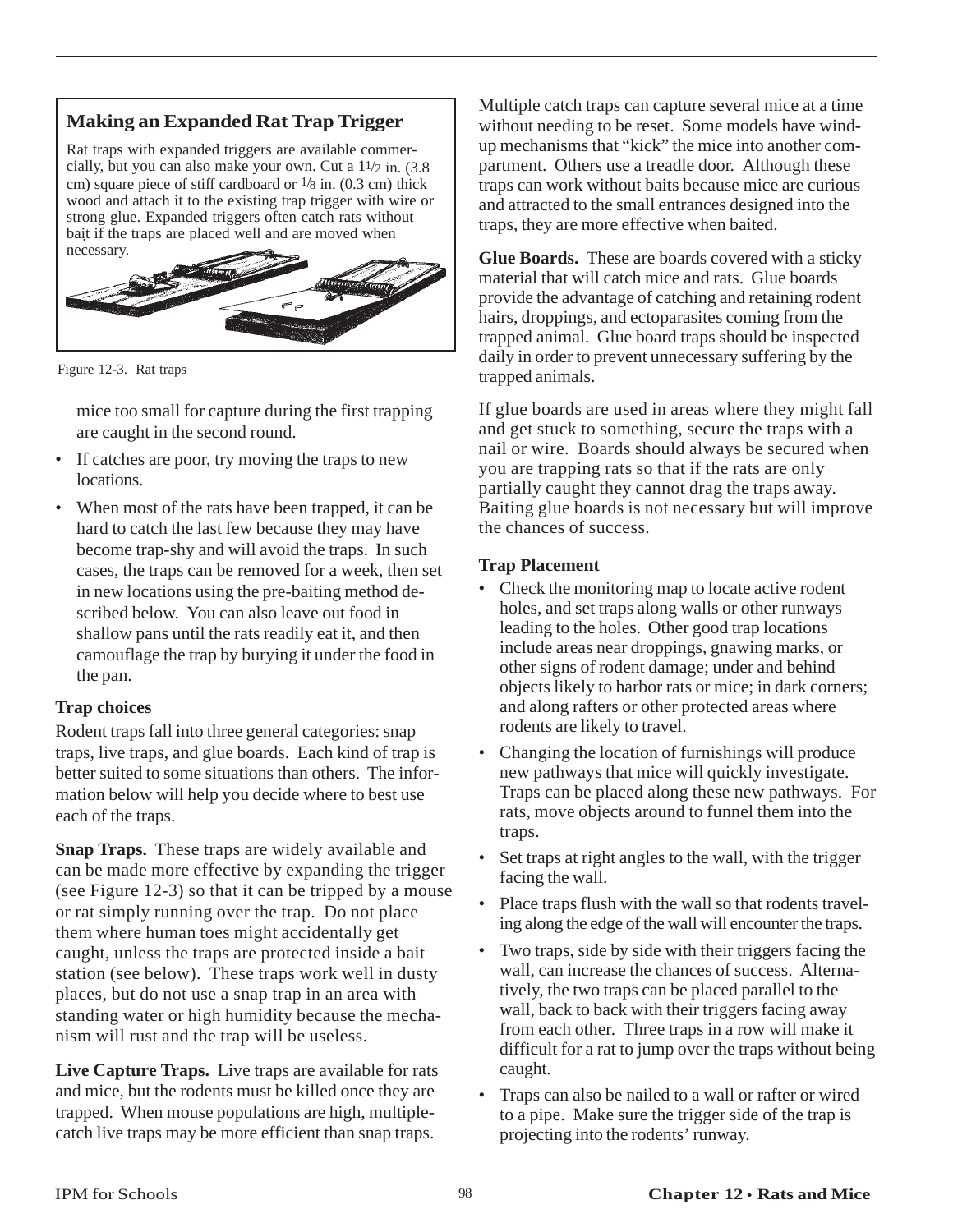# **Making an Expanded Rat Trap Trigger**

Rat traps with expanded triggers are available commercially, but you can also make your own. Cut a 11/2 in. (3.8 cm) square piece of stiff cardboard or  $\frac{1}{8}$  in. (0.3 cm) thick wood and attach it to the existing trap trigger with wire or strong glue. Expanded triggers often catch rats without bait if the traps are placed well and are moved when necessary.



Figure 12-3. Rat traps

mice too small for capture during the first trapping are caught in the second round.

- If catches are poor, try moving the traps to new locations.
- When most of the rats have been trapped, it can be hard to catch the last few because they may have become trap-shy and will avoid the traps. In such cases, the traps can be removed for a week, then set in new locations using the pre-baiting method described below. You can also leave out food in shallow pans until the rats readily eat it, and then camouflage the trap by burying it under the food in the pan.

### **Trap choices**

Rodent traps fall into three general categories: snap traps, live traps, and glue boards. Each kind of trap is better suited to some situations than others. The information below will help you decide where to best use each of the traps.

**Snap Traps.** These traps are widely available and can be made more effective by expanding the trigger (see Figure 12-3) so that it can be tripped by a mouse or rat simply running over the trap. Do not place them where human toes might accidentally get caught, unless the traps are protected inside a bait station (see below). These traps work well in dusty places, but do not use a snap trap in an area with standing water or high humidity because the mechanism will rust and the trap will be useless.

**Live Capture Traps.** Live traps are available for rats and mice, but the rodents must be killed once they are trapped. When mouse populations are high, multiplecatch live traps may be more efficient than snap traps.

Multiple catch traps can capture several mice at a time without needing to be reset. Some models have windup mechanisms that "kick" the mice into another compartment. Others use a treadle door. Although these traps can work without baits because mice are curious and attracted to the small entrances designed into the traps, they are more effective when baited.

**Glue Boards.** These are boards covered with a sticky material that will catch mice and rats. Glue boards provide the advantage of catching and retaining rodent hairs, droppings, and ectoparasites coming from the trapped animal. Glue board traps should be inspected daily in order to prevent unnecessary suffering by the trapped animals.

If glue boards are used in areas where they might fall and get stuck to something, secure the traps with a nail or wire. Boards should always be secured when you are trapping rats so that if the rats are only partially caught they cannot drag the traps away. Baiting glue boards is not necessary but will improve the chances of success.

### **Trap Placement**

- Check the monitoring map to locate active rodent holes, and set traps along walls or other runways leading to the holes. Other good trap locations include areas near droppings, gnawing marks, or other signs of rodent damage; under and behind objects likely to harbor rats or mice; in dark corners; and along rafters or other protected areas where rodents are likely to travel.
- Changing the location of furnishings will produce new pathways that mice will quickly investigate. Traps can be placed along these new pathways. For rats, move objects around to funnel them into the traps.
- Set traps at right angles to the wall, with the trigger facing the wall.
- Place traps flush with the wall so that rodents traveling along the edge of the wall will encounter the traps.
- Two traps, side by side with their triggers facing the wall, can increase the chances of success. Alternatively, the two traps can be placed parallel to the wall, back to back with their triggers facing away from each other. Three traps in a row will make it difficult for a rat to jump over the traps without being caught.
- Traps can also be nailed to a wall or rafter or wired to a pipe. Make sure the trigger side of the trap is projecting into the rodents' runway.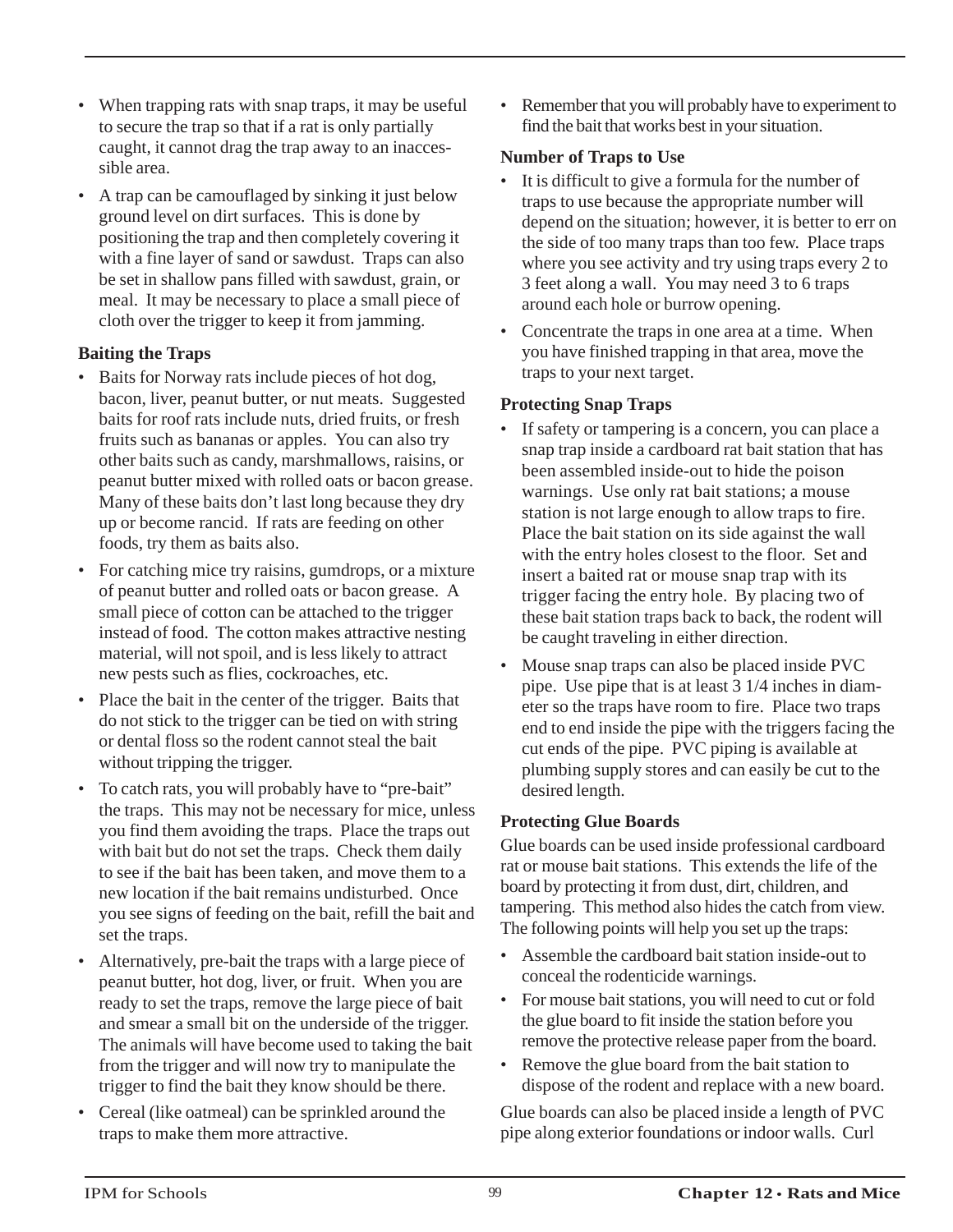- When trapping rats with snap traps, it may be useful to secure the trap so that if a rat is only partially caught, it cannot drag the trap away to an inaccessible area.
- A trap can be camouflaged by sinking it just below ground level on dirt surfaces. This is done by positioning the trap and then completely covering it with a fine layer of sand or sawdust. Traps can also be set in shallow pans filled with sawdust, grain, or meal. It may be necessary to place a small piece of cloth over the trigger to keep it from jamming.

### **Baiting the Traps**

- Baits for Norway rats include pieces of hot dog, bacon, liver, peanut butter, or nut meats. Suggested baits for roof rats include nuts, dried fruits, or fresh fruits such as bananas or apples. You can also try other baits such as candy, marshmallows, raisins, or peanut butter mixed with rolled oats or bacon grease. Many of these baits don't last long because they dry up or become rancid. If rats are feeding on other foods, try them as baits also.
- For catching mice try raisins, gumdrops, or a mixture of peanut butter and rolled oats or bacon grease. A small piece of cotton can be attached to the trigger instead of food. The cotton makes attractive nesting material, will not spoil, and is less likely to attract new pests such as flies, cockroaches, etc.
- Place the bait in the center of the trigger. Baits that do not stick to the trigger can be tied on with string or dental floss so the rodent cannot steal the bait without tripping the trigger.
- To catch rats, you will probably have to "pre-bait" the traps. This may not be necessary for mice, unless you find them avoiding the traps. Place the traps out with bait but do not set the traps. Check them daily to see if the bait has been taken, and move them to a new location if the bait remains undisturbed. Once you see signs of feeding on the bait, refill the bait and set the traps.
- Alternatively, pre-bait the traps with a large piece of peanut butter, hot dog, liver, or fruit. When you are ready to set the traps, remove the large piece of bait and smear a small bit on the underside of the trigger. The animals will have become used to taking the bait from the trigger and will now try to manipulate the trigger to find the bait they know should be there.
- Cereal (like oatmeal) can be sprinkled around the traps to make them more attractive.

• Remember that you will probably have to experiment to find the bait that works best in your situation.

### **Number of Traps to Use**

- It is difficult to give a formula for the number of traps to use because the appropriate number will depend on the situation; however, it is better to err on the side of too many traps than too few. Place traps where you see activity and try using traps every 2 to 3 feet along a wall. You may need 3 to 6 traps around each hole or burrow opening.
- Concentrate the traps in one area at a time. When you have finished trapping in that area, move the traps to your next target.

### **Protecting Snap Traps**

- If safety or tampering is a concern, you can place a snap trap inside a cardboard rat bait station that has been assembled inside-out to hide the poison warnings. Use only rat bait stations; a mouse station is not large enough to allow traps to fire. Place the bait station on its side against the wall with the entry holes closest to the floor. Set and insert a baited rat or mouse snap trap with its trigger facing the entry hole. By placing two of these bait station traps back to back, the rodent will be caught traveling in either direction.
- Mouse snap traps can also be placed inside PVC pipe. Use pipe that is at least 3 1/4 inches in diameter so the traps have room to fire. Place two traps end to end inside the pipe with the triggers facing the cut ends of the pipe. PVC piping is available at plumbing supply stores and can easily be cut to the desired length.

### **Protecting Glue Boards**

Glue boards can be used inside professional cardboard rat or mouse bait stations. This extends the life of the board by protecting it from dust, dirt, children, and tampering. This method also hides the catch from view. The following points will help you set up the traps:

- Assemble the cardboard bait station inside-out to conceal the rodenticide warnings.
- For mouse bait stations, you will need to cut or fold the glue board to fit inside the station before you remove the protective release paper from the board.
- Remove the glue board from the bait station to dispose of the rodent and replace with a new board.

Glue boards can also be placed inside a length of PVC pipe along exterior foundations or indoor walls. Curl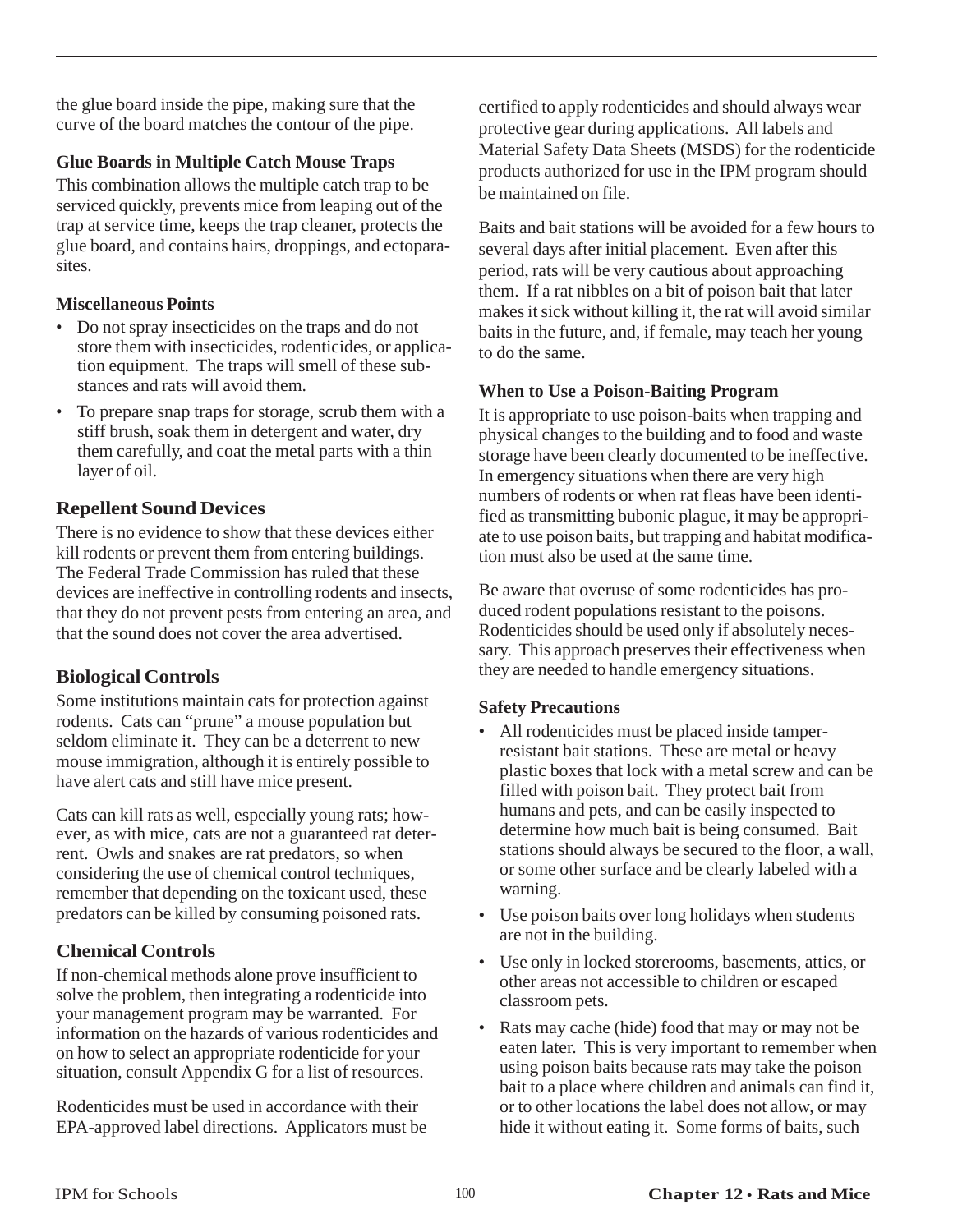the glue board inside the pipe, making sure that the curve of the board matches the contour of the pipe.

### **Glue Boards in Multiple Catch Mouse Traps**

This combination allows the multiple catch trap to be serviced quickly, prevents mice from leaping out of the trap at service time, keeps the trap cleaner, protects the glue board, and contains hairs, droppings, and ectoparasites.

### **Miscellaneous Points**

- Do not spray insecticides on the traps and do not store them with insecticides, rodenticides, or application equipment. The traps will smell of these substances and rats will avoid them.
- To prepare snap traps for storage, scrub them with a stiff brush, soak them in detergent and water, dry them carefully, and coat the metal parts with a thin layer of oil.

### **Repellent Sound Devices**

There is no evidence to show that these devices either kill rodents or prevent them from entering buildings. The Federal Trade Commission has ruled that these devices are ineffective in controlling rodents and insects, that they do not prevent pests from entering an area, and that the sound does not cover the area advertised.

### **Biological Controls**

Some institutions maintain cats for protection against rodents. Cats can "prune" a mouse population but seldom eliminate it. They can be a deterrent to new mouse immigration, although it is entirely possible to have alert cats and still have mice present.

Cats can kill rats as well, especially young rats; however, as with mice, cats are not a guaranteed rat deterrent. Owls and snakes are rat predators, so when considering the use of chemical control techniques, remember that depending on the toxicant used, these predators can be killed by consuming poisoned rats.

### **Chemical Controls**

If non-chemical methods alone prove insufficient to solve the problem, then integrating a rodenticide into your management program may be warranted. For information on the hazards of various rodenticides and on how to select an appropriate rodenticide for your situation, consult Appendix G for a list of resources.

Rodenticides must be used in accordance with their EPA-approved label directions. Applicators must be certified to apply rodenticides and should always wear protective gear during applications. All labels and Material Safety Data Sheets (MSDS) for the rodenticide products authorized for use in the IPM program should be maintained on file.

Baits and bait stations will be avoided for a few hours to several days after initial placement. Even after this period, rats will be very cautious about approaching them. If a rat nibbles on a bit of poison bait that later makes it sick without killing it, the rat will avoid similar baits in the future, and, if female, may teach her young to do the same.

### **When to Use a Poison-Baiting Program**

It is appropriate to use poison-baits when trapping and physical changes to the building and to food and waste storage have been clearly documented to be ineffective. In emergency situations when there are very high numbers of rodents or when rat fleas have been identified as transmitting bubonic plague, it may be appropriate to use poison baits, but trapping and habitat modification must also be used at the same time.

Be aware that overuse of some rodenticides has produced rodent populations resistant to the poisons. Rodenticides should be used only if absolutely necessary. This approach preserves their effectiveness when they are needed to handle emergency situations.

### **Safety Precautions**

- All rodenticides must be placed inside tamperresistant bait stations. These are metal or heavy plastic boxes that lock with a metal screw and can be filled with poison bait. They protect bait from humans and pets, and can be easily inspected to determine how much bait is being consumed. Bait stations should always be secured to the floor, a wall, or some other surface and be clearly labeled with a warning.
- Use poison baits over long holidays when students are not in the building.
- Use only in locked storerooms, basements, attics, or other areas not accessible to children or escaped classroom pets.
- Rats may cache (hide) food that may or may not be eaten later. This is very important to remember when using poison baits because rats may take the poison bait to a place where children and animals can find it, or to other locations the label does not allow, or may hide it without eating it. Some forms of baits, such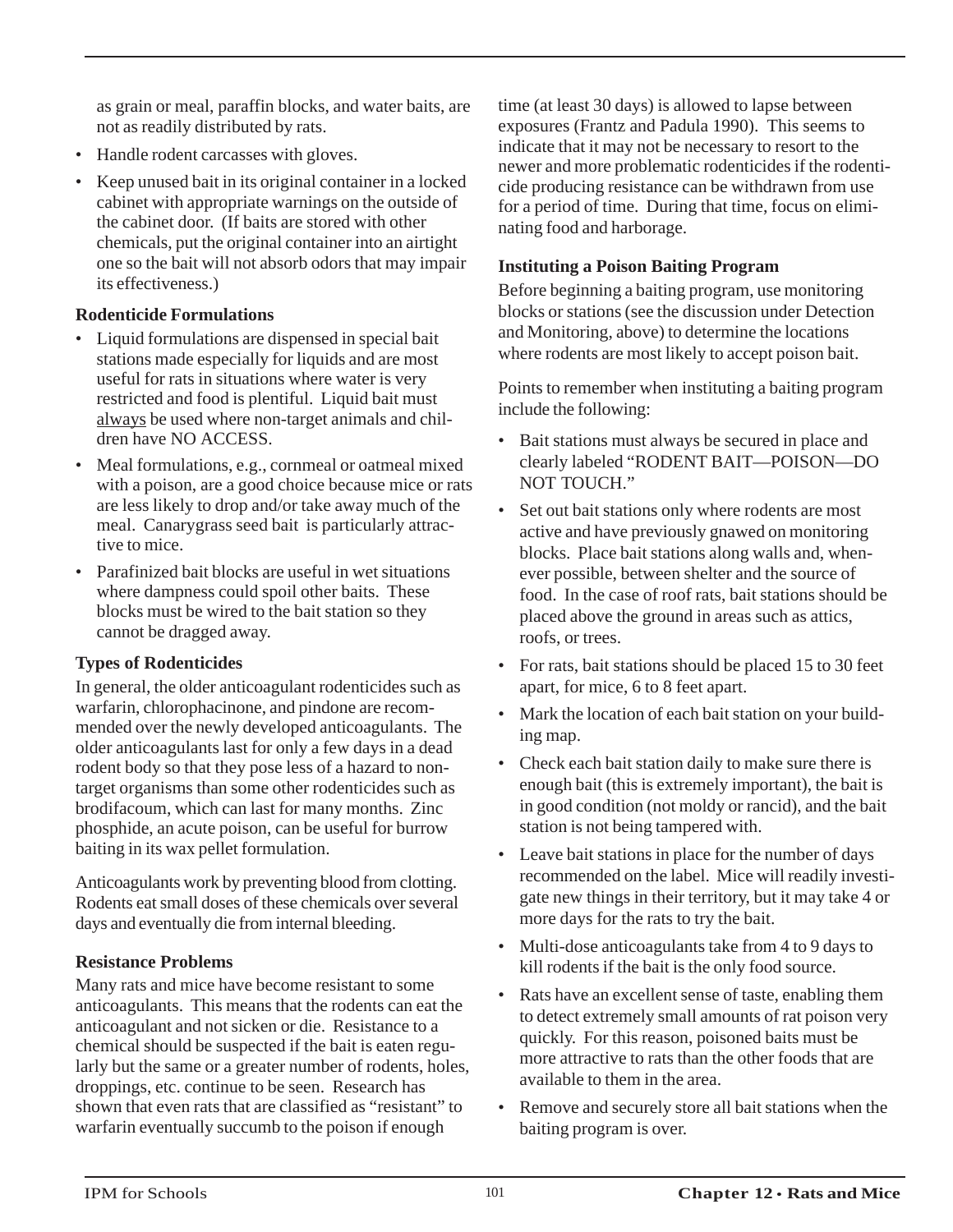as grain or meal, paraffin blocks, and water baits, are not as readily distributed by rats.

- Handle rodent carcasses with gloves.
- Keep unused bait in its original container in a locked cabinet with appropriate warnings on the outside of the cabinet door. (If baits are stored with other chemicals, put the original container into an airtight one so the bait will not absorb odors that may impair its effectiveness.)

### **Rodenticide Formulations**

- Liquid formulations are dispensed in special bait stations made especially for liquids and are most useful for rats in situations where water is very restricted and food is plentiful. Liquid bait must always be used where non-target animals and children have NO ACCESS.
- Meal formulations, e.g., cornmeal or oatmeal mixed with a poison, are a good choice because mice or rats are less likely to drop and/or take away much of the meal. Canarygrass seed bait is particularly attractive to mice.
- Parafinized bait blocks are useful in wet situations where dampness could spoil other baits. These blocks must be wired to the bait station so they cannot be dragged away.

### **Types of Rodenticides**

In general, the older anticoagulant rodenticides such as warfarin, chlorophacinone, and pindone are recommended over the newly developed anticoagulants. The older anticoagulants last for only a few days in a dead rodent body so that they pose less of a hazard to nontarget organisms than some other rodenticides such as brodifacoum, which can last for many months. Zinc phosphide, an acute poison, can be useful for burrow baiting in its wax pellet formulation.

Anticoagulants work by preventing blood from clotting. Rodents eat small doses of these chemicals over several days and eventually die from internal bleeding.

### **Resistance Problems**

Many rats and mice have become resistant to some anticoagulants. This means that the rodents can eat the anticoagulant and not sicken or die. Resistance to a chemical should be suspected if the bait is eaten regularly but the same or a greater number of rodents, holes, droppings, etc. continue to be seen. Research has shown that even rats that are classified as "resistant" to warfarin eventually succumb to the poison if enough

time (at least 30 days) is allowed to lapse between exposures (Frantz and Padula 1990). This seems to indicate that it may not be necessary to resort to the newer and more problematic rodenticides if the rodenticide producing resistance can be withdrawn from use for a period of time. During that time, focus on eliminating food and harborage.

### **Instituting a Poison Baiting Program**

Before beginning a baiting program, use monitoring blocks or stations (see the discussion under Detection and Monitoring, above) to determine the locations where rodents are most likely to accept poison bait.

Points to remember when instituting a baiting program include the following:

- Bait stations must always be secured in place and clearly labeled "RODENT BAIT—POISON—DO NOT TOUCH."
- Set out bait stations only where rodents are most active and have previously gnawed on monitoring blocks. Place bait stations along walls and, whenever possible, between shelter and the source of food. In the case of roof rats, bait stations should be placed above the ground in areas such as attics, roofs, or trees.
- For rats, bait stations should be placed 15 to 30 feet apart, for mice, 6 to 8 feet apart.
- Mark the location of each bait station on your building map.
- Check each bait station daily to make sure there is enough bait (this is extremely important), the bait is in good condition (not moldy or rancid), and the bait station is not being tampered with.
- Leave bait stations in place for the number of days recommended on the label. Mice will readily investigate new things in their territory, but it may take 4 or more days for the rats to try the bait.
- Multi-dose anticoagulants take from 4 to 9 days to kill rodents if the bait is the only food source.
- Rats have an excellent sense of taste, enabling them to detect extremely small amounts of rat poison very quickly. For this reason, poisoned baits must be more attractive to rats than the other foods that are available to them in the area.
- Remove and securely store all bait stations when the baiting program is over.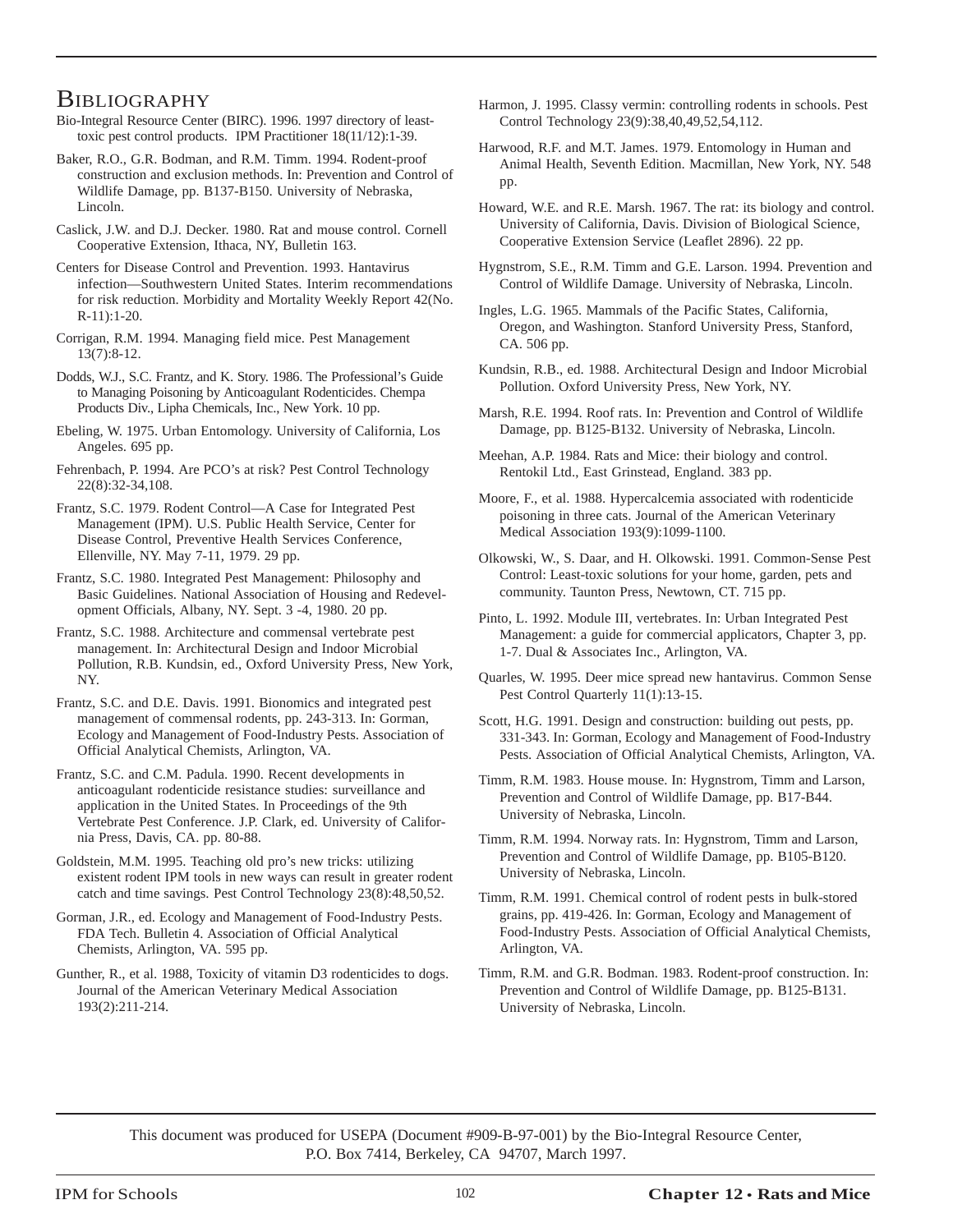### **BIBLIOGRAPHY**

Bio-Integral Resource Center (BIRC). 1996. 1997 directory of leasttoxic pest control products. IPM Practitioner 18(11/12):1-39.

Baker, R.O., G.R. Bodman, and R.M. Timm. 1994. Rodent-proof construction and exclusion methods. In: Prevention and Control of Wildlife Damage, pp. B137-B150. University of Nebraska, Lincoln.

Caslick, J.W. and D.J. Decker. 1980. Rat and mouse control. Cornell Cooperative Extension, Ithaca, NY, Bulletin 163.

Centers for Disease Control and Prevention. 1993. Hantavirus infection—Southwestern United States. Interim recommendations for risk reduction. Morbidity and Mortality Weekly Report 42(No. R-11):1-20.

Corrigan, R.M. 1994. Managing field mice. Pest Management 13(7):8-12.

Dodds, W.J., S.C. Frantz, and K. Story. 1986. The Professional's Guide to Managing Poisoning by Anticoagulant Rodenticides. Chempa Products Div., Lipha Chemicals, Inc., New York. 10 pp.

Ebeling, W. 1975. Urban Entomology. University of California, Los Angeles. 695 pp.

Fehrenbach, P. 1994. Are PCO's at risk? Pest Control Technology 22(8):32-34,108.

Frantz, S.C. 1979. Rodent Control—A Case for Integrated Pest Management (IPM). U.S. Public Health Service, Center for Disease Control, Preventive Health Services Conference, Ellenville, NY. May 7-11, 1979. 29 pp.

Frantz, S.C. 1980. Integrated Pest Management: Philosophy and Basic Guidelines. National Association of Housing and Redevelopment Officials, Albany, NY. Sept. 3 -4, 1980. 20 pp.

Frantz, S.C. 1988. Architecture and commensal vertebrate pest management. In: Architectural Design and Indoor Microbial Pollution, R.B. Kundsin, ed., Oxford University Press, New York, NY.

Frantz, S.C. and D.E. Davis. 1991. Bionomics and integrated pest management of commensal rodents, pp. 243-313. In: Gorman, Ecology and Management of Food-Industry Pests. Association of Official Analytical Chemists, Arlington, VA.

Frantz, S.C. and C.M. Padula. 1990. Recent developments in anticoagulant rodenticide resistance studies: surveillance and application in the United States. In Proceedings of the 9th Vertebrate Pest Conference. J.P. Clark, ed. University of California Press, Davis, CA. pp. 80-88.

Goldstein, M.M. 1995. Teaching old pro's new tricks: utilizing existent rodent IPM tools in new ways can result in greater rodent catch and time savings. Pest Control Technology 23(8):48,50,52.

Gorman, J.R., ed. Ecology and Management of Food-Industry Pests. FDA Tech. Bulletin 4. Association of Official Analytical Chemists, Arlington, VA. 595 pp.

Gunther, R., et al. 1988, Toxicity of vitamin D3 rodenticides to dogs. Journal of the American Veterinary Medical Association 193(2):211-214.

Harmon, J. 1995. Classy vermin: controlling rodents in schools. Pest Control Technology 23(9):38,40,49,52,54,112.

Harwood, R.F. and M.T. James. 1979. Entomology in Human and Animal Health, Seventh Edition. Macmillan, New York, NY. 548 pp.

Howard, W.E. and R.E. Marsh. 1967. The rat: its biology and control. University of California, Davis. Division of Biological Science, Cooperative Extension Service (Leaflet 2896). 22 pp.

Hygnstrom, S.E., R.M. Timm and G.E. Larson. 1994. Prevention and Control of Wildlife Damage. University of Nebraska, Lincoln.

Ingles, L.G. 1965. Mammals of the Pacific States, California, Oregon, and Washington. Stanford University Press, Stanford, CA. 506 pp.

Kundsin, R.B., ed. 1988. Architectural Design and Indoor Microbial Pollution. Oxford University Press, New York, NY.

Marsh, R.E. 1994. Roof rats. In: Prevention and Control of Wildlife Damage, pp. B125-B132. University of Nebraska, Lincoln.

Meehan, A.P. 1984. Rats and Mice: their biology and control. Rentokil Ltd., East Grinstead, England. 383 pp.

Moore, F., et al. 1988. Hypercalcemia associated with rodenticide poisoning in three cats. Journal of the American Veterinary Medical Association 193(9):1099-1100.

Olkowski, W., S. Daar, and H. Olkowski. 1991. Common-Sense Pest Control: Least-toxic solutions for your home, garden, pets and community. Taunton Press, Newtown, CT. 715 pp.

Pinto, L. 1992. Module III, vertebrates. In: Urban Integrated Pest Management: a guide for commercial applicators, Chapter 3, pp. 1-7. Dual & Associates Inc., Arlington, VA.

Quarles, W. 1995. Deer mice spread new hantavirus. Common Sense Pest Control Quarterly 11(1):13-15.

Scott, H.G. 1991. Design and construction: building out pests, pp. 331-343. In: Gorman, Ecology and Management of Food-Industry Pests. Association of Official Analytical Chemists, Arlington, VA.

Timm, R.M. 1983. House mouse. In: Hygnstrom, Timm and Larson, Prevention and Control of Wildlife Damage, pp. B17-B44. University of Nebraska, Lincoln.

Timm, R.M. 1994. Norway rats. In: Hygnstrom, Timm and Larson, Prevention and Control of Wildlife Damage, pp. B105-B120. University of Nebraska, Lincoln.

Timm, R.M. 1991. Chemical control of rodent pests in bulk-stored grains, pp. 419-426. In: Gorman, Ecology and Management of Food-Industry Pests. Association of Official Analytical Chemists, Arlington, VA.

Timm, R.M. and G.R. Bodman. 1983. Rodent-proof construction. In: Prevention and Control of Wildlife Damage, pp. B125-B131. University of Nebraska, Lincoln.

This document was produced for USEPA (Document #909-B-97-001) by the Bio-Integral Resource Center, P.O. Box 7414, Berkeley, CA 94707, March 1997.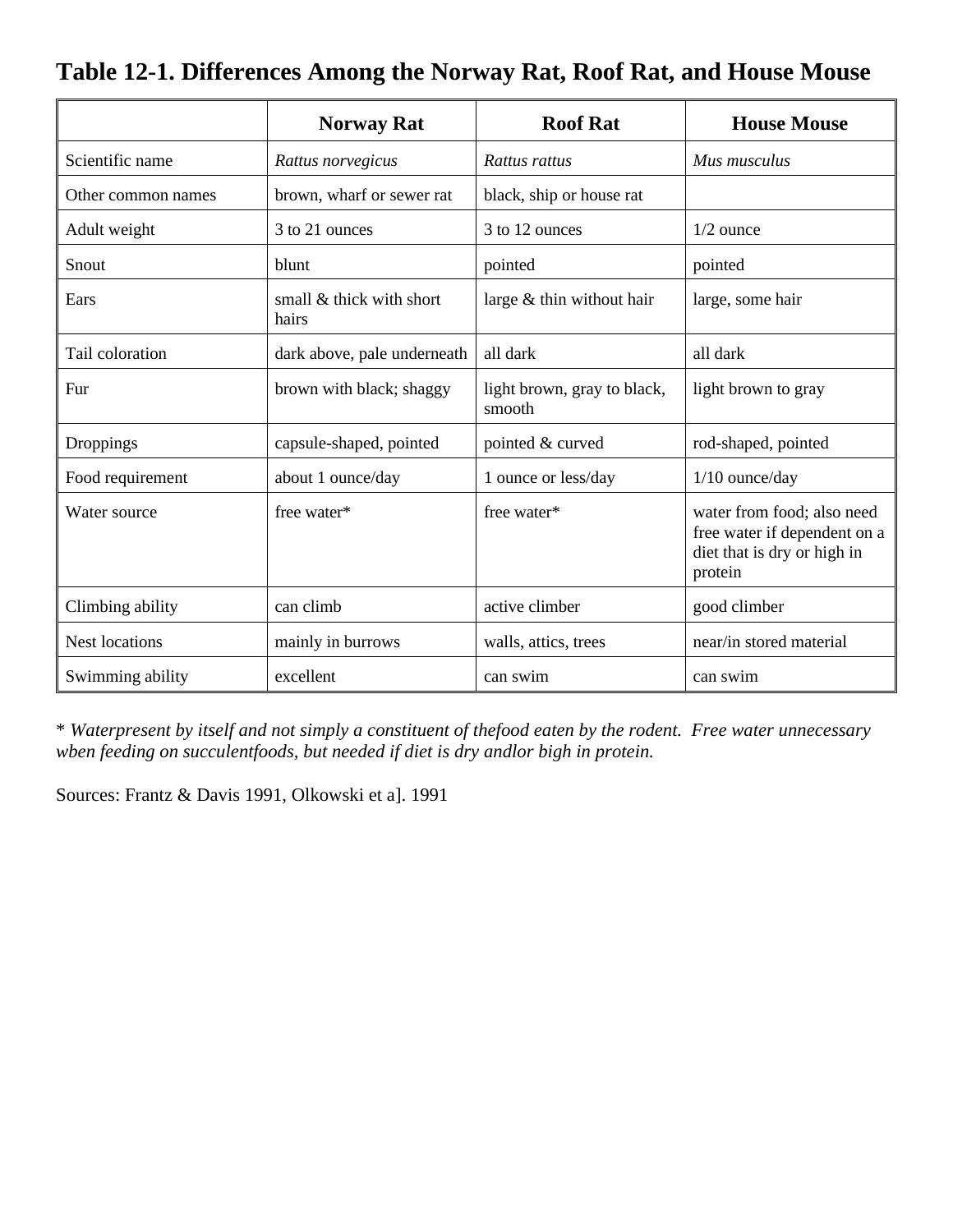|                       | <b>Norway Rat</b>                 | <b>Roof Rat</b>                       | <b>House Mouse</b>                                                                                   |
|-----------------------|-----------------------------------|---------------------------------------|------------------------------------------------------------------------------------------------------|
| Scientific name       | Rattus norvegicus                 | Rattus rattus                         | Mus musculus                                                                                         |
| Other common names    | brown, wharf or sewer rat         | black, ship or house rat              |                                                                                                      |
| Adult weight          | 3 to 21 ounces                    | 3 to 12 ounces                        | $1/2$ ounce                                                                                          |
| Snout                 | blunt                             | pointed                               | pointed                                                                                              |
| Ears                  | small & thick with short<br>hairs | large $&$ thin without hair           | large, some hair                                                                                     |
| Tail coloration       | dark above, pale underneath       | all dark                              | all dark                                                                                             |
| Fur                   | brown with black; shaggy          | light brown, gray to black,<br>smooth | light brown to gray                                                                                  |
| Droppings             | capsule-shaped, pointed           | pointed & curved                      | rod-shaped, pointed                                                                                  |
| Food requirement      | about 1 ounce/day                 | 1 ounce or less/day                   | $1/10$ ounce/day                                                                                     |
| Water source          | free water*                       | free water*                           | water from food; also need<br>free water if dependent on a<br>diet that is dry or high in<br>protein |
| Climbing ability      | can climb                         | active climber                        | good climber                                                                                         |
| <b>Nest locations</b> | mainly in burrows                 | walls, attics, trees                  | near/in stored material                                                                              |
| Swimming ability      | excellent                         | can swim                              | can swim                                                                                             |

# **Table 12-1. Differences Among the Norway Rat, Roof Rat, and House Mouse**

\* *Waterpresent by itself and not simply a constituent of thefood eaten by the rodent. Free water unnecessary wben feeding on succulentfoods, but needed if diet is dry andlor bigh in protein.*

Sources: Frantz & Davis 1991, Olkowski et a]. 1991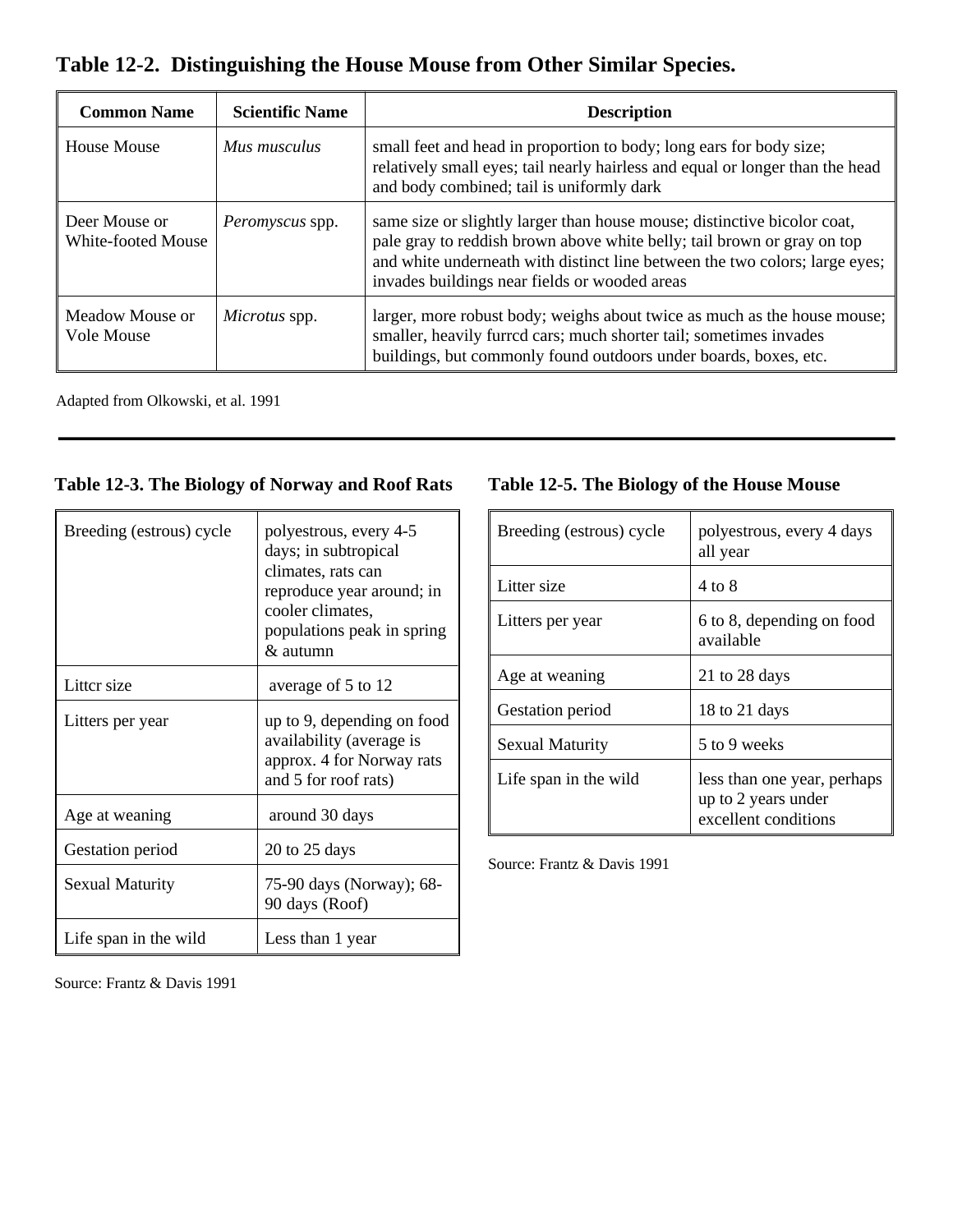**Table 12-2. Distinguishing the House Mouse from Other Similar Species.**

| <b>Common Name</b>                  | <b>Scientific Name</b> | <b>Description</b>                                                                                                                                                                                                                                                                  |
|-------------------------------------|------------------------|-------------------------------------------------------------------------------------------------------------------------------------------------------------------------------------------------------------------------------------------------------------------------------------|
| <b>House Mouse</b>                  | Mus musculus           | small feet and head in proportion to body; long ears for body size;<br>relatively small eyes; tail nearly hairless and equal or longer than the head<br>and body combined; tail is uniformly dark                                                                                   |
| Deer Mouse or<br>White-footed Mouse | Peromyscus spp.        | same size or slightly larger than house mouse; distinctive bicolor coat,<br>pale gray to reddish brown above white belly; tail brown or gray on top<br>and white underneath with distinct line between the two colors; large eyes;<br>invades buildings near fields or wooded areas |
| Meadow Mouse or<br>Vole Mouse       | <i>Microtus</i> spp.   | larger, more robust body; weighs about twice as much as the house mouse;<br>smaller, heavily furred cars; much shorter tail; sometimes invades<br>buildings, but commonly found outdoors under boards, boxes, etc.                                                                  |

Adapted from Olkowski, et al. 1991

### **Table 12-3. The Biology of Norway and Roof Rats**

| Breeding (estrous) cycle | polyestrous, every 4-5<br>days; in subtropical<br>climates, rats can<br>reproduce year around; in<br>cooler climates.<br>populations peak in spring<br>& autumn |  |
|--------------------------|-----------------------------------------------------------------------------------------------------------------------------------------------------------------|--|
| Litter size              | average of 5 to 12                                                                                                                                              |  |
| Litters per year         | up to 9, depending on food<br>availability (average is<br>approx. 4 for Norway rats<br>and 5 for roof rats)                                                     |  |
| Age at weaning           | around 30 days                                                                                                                                                  |  |
| Gestation period         | $20$ to $25$ days                                                                                                                                               |  |
| <b>Sexual Maturity</b>   | 75-90 days (Norway); 68-<br>90 days (Roof)                                                                                                                      |  |
| Life span in the wild    | Less than 1 year                                                                                                                                                |  |

### **Table 12-5. The Biology of the House Mouse**

| Breeding (estrous) cycle | polyestrous, every 4 days<br>all year                                      |  |
|--------------------------|----------------------------------------------------------------------------|--|
| Litter size              | 4 to 8                                                                     |  |
| Litters per year         | 6 to 8, depending on food<br>available                                     |  |
| Age at weaning           | 21 to 28 days                                                              |  |
| Gestation period         | 18 to 21 days                                                              |  |
| <b>Sexual Maturity</b>   | 5 to 9 weeks                                                               |  |
| Life span in the wild    | less than one year, perhaps<br>up to 2 years under<br>excellent conditions |  |

Source: Frantz & Davis 1991

Source: Frantz & Davis 1991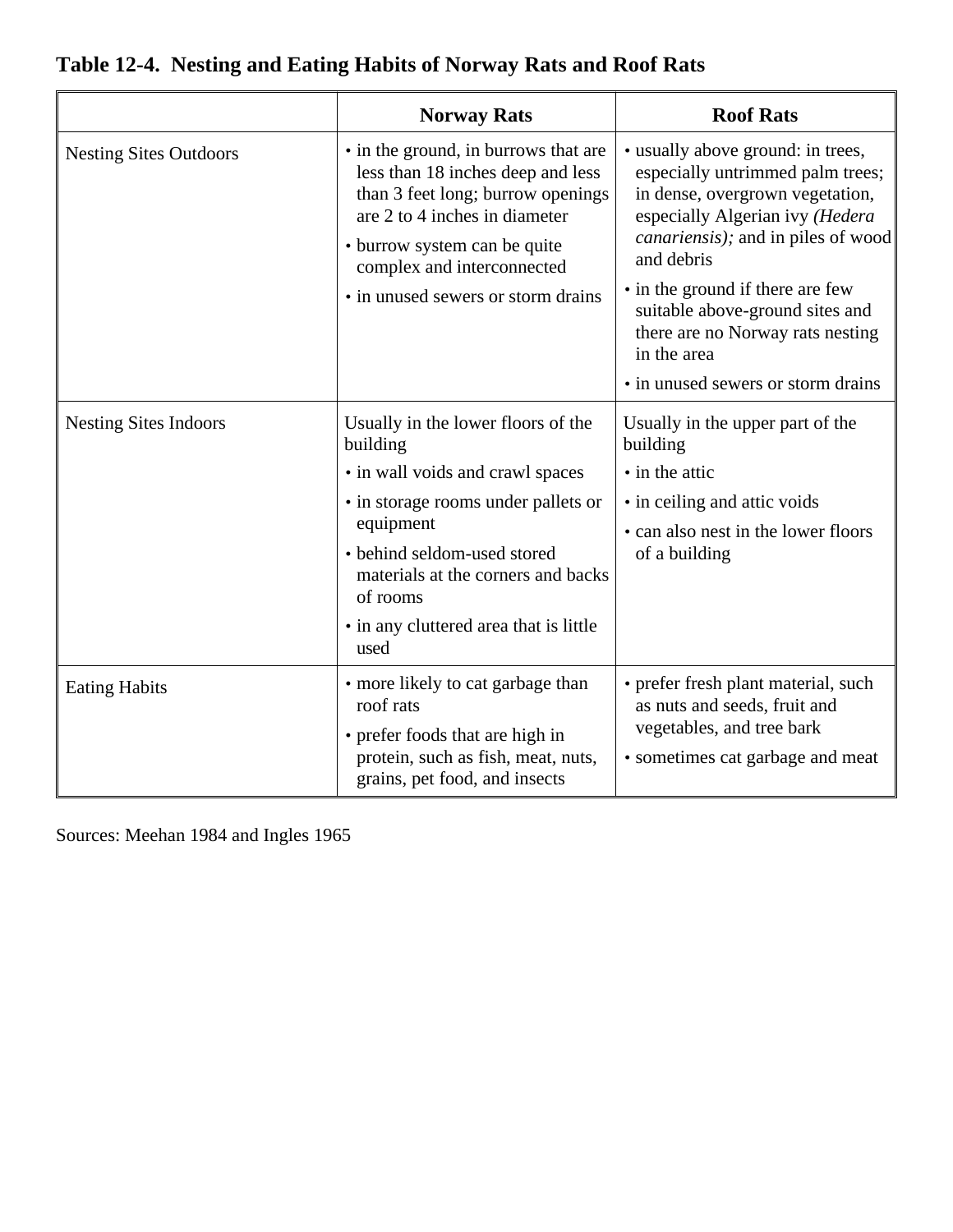|                               | <b>Norway Rats</b>                                                                                                                                                                                                                                                        | <b>Roof Rats</b>                                                                                                                                                                                                                                                                                                                                                |
|-------------------------------|---------------------------------------------------------------------------------------------------------------------------------------------------------------------------------------------------------------------------------------------------------------------------|-----------------------------------------------------------------------------------------------------------------------------------------------------------------------------------------------------------------------------------------------------------------------------------------------------------------------------------------------------------------|
| <b>Nesting Sites Outdoors</b> | • in the ground, in burrows that are<br>less than 18 inches deep and less<br>than 3 feet long; burrow openings<br>are 2 to 4 inches in diameter<br>• burrow system can be quite<br>complex and interconnected<br>• in unused sewers or storm drains                       | • usually above ground: in trees,<br>especially untrimmed palm trees;<br>in dense, overgrown vegetation,<br>especially Algerian ivy (Hedera<br>canariensis); and in piles of wood<br>and debris<br>• in the ground if there are few<br>suitable above-ground sites and<br>there are no Norway rats nesting<br>in the area<br>• in unused sewers or storm drains |
| <b>Nesting Sites Indoors</b>  | Usually in the lower floors of the<br>building<br>• in wall voids and crawl spaces<br>• in storage rooms under pallets or<br>equipment<br>• behind seldom-used stored<br>materials at the corners and backs<br>of rooms<br>• in any cluttered area that is little<br>used | Usually in the upper part of the<br>building<br>• in the attic<br>• in ceiling and attic voids<br>• can also nest in the lower floors<br>of a building                                                                                                                                                                                                          |
| <b>Eating Habits</b>          | • more likely to cat garbage than<br>roof rats<br>• prefer foods that are high in<br>protein, such as fish, meat, nuts,<br>grains, pet food, and insects                                                                                                                  | • prefer fresh plant material, such<br>as nuts and seeds, fruit and<br>vegetables, and tree bark<br>• sometimes cat garbage and meat                                                                                                                                                                                                                            |

# **Table 12-4. Nesting and Eating Habits of Norway Rats and Roof Rats**

Sources: Meehan 1984 and Ingles 1965